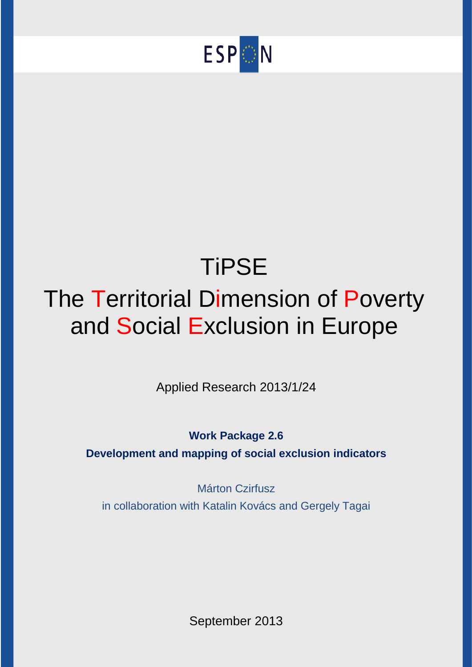

# **TiPSE** The Territorial Dimension of Poverty and Social Exclusion in Europe

Applied Research 2013/1/24

**Work Package 2.6**

**Development and mapping of social exclusion indicators**

Márton Czirfusz in collaboration with Katalin Kovács and Gergely Tagai

September 2013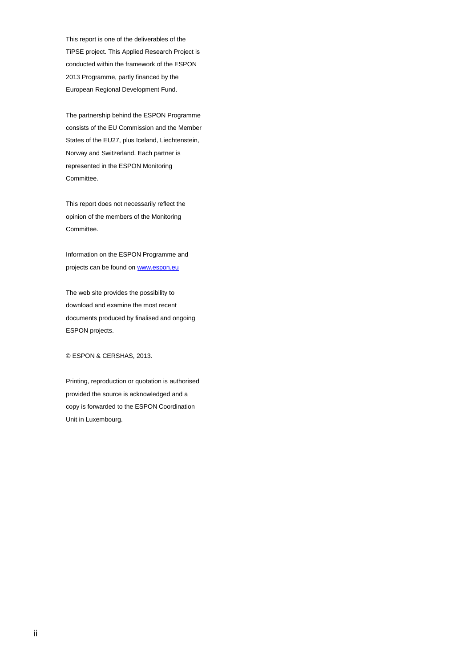This report is one of the deliverables of the TiPSE project. This Applied Research Project is conducted within the framework of the ESPON 2013 Programme, partly financed by the European Regional Development Fund.

The partnership behind the ESPON Programme consists of the EU Commission and the Member States of the EU27, plus Iceland, Liechtenstein, Norway and Switzerland. Each partner is represented in the ESPON Monitoring Committee.

This report does not necessarily reflect the opinion of the members of the Monitoring Committee.

Information on the ESPON Programme and projects can be found on [www.espon.eu](http://www.espon.eu/)

The web site provides the possibility to download and examine the most recent documents produced by finalised and ongoing ESPON projects.

© ESPON & CERSHAS, 2013.

Printing, reproduction or quotation is authorised provided the source is acknowledged and a copy is forwarded to the ESPON Coordination Unit in Luxembourg.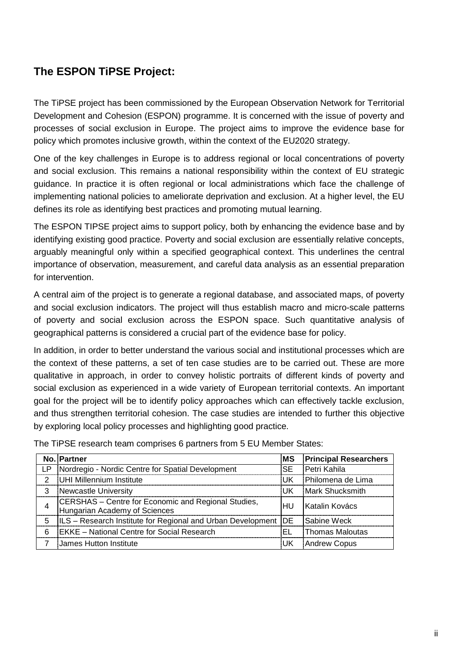# **The ESPON TiPSE Project:**

The TiPSE project has been commissioned by the European Observation Network for Territorial Development and Cohesion (ESPON) programme. It is concerned with the issue of poverty and processes of social exclusion in Europe. The project aims to improve the evidence base for policy which promotes inclusive growth, within the context of the EU2020 strategy.

One of the key challenges in Europe is to address regional or local concentrations of poverty and social exclusion. This remains a national responsibility within the context of EU strategic guidance. In practice it is often regional or local administrations which face the challenge of implementing national policies to ameliorate deprivation and exclusion. At a higher level, the EU defines its role as identifying best practices and promoting mutual learning.

The ESPON TIPSE project aims to support policy, both by enhancing the evidence base and by identifying existing good practice. Poverty and social exclusion are essentially relative concepts, arguably meaningful only within a specified geographical context. This underlines the central importance of observation, measurement, and careful data analysis as an essential preparation for intervention.

A central aim of the project is to generate a regional database, and associated maps, of poverty and social exclusion indicators. The project will thus establish macro and micro-scale patterns of poverty and social exclusion across the ESPON space. Such quantitative analysis of geographical patterns is considered a crucial part of the evidence base for policy.

In addition, in order to better understand the various social and institutional processes which are the context of these patterns, a set of ten case studies are to be carried out. These are more qualitative in approach, in order to convey holistic portraits of different kinds of poverty and social exclusion as experienced in a wide variety of European territorial contexts. An important goal for the project will be to identify policy approaches which can effectively tackle exclusion, and thus strengthen territorial cohesion. The case studies are intended to further this objective by exploring local policy processes and highlighting good practice.

|     | No. Partner                                                                          | MS        | <b>Principal Researchers</b> |
|-----|--------------------------------------------------------------------------------------|-----------|------------------------------|
| LP. | Nordregio - Nordic Centre for Spatial Development                                    | <b>SE</b> | Petri Kahila                 |
| 2   | UHI Millennium Institute                                                             | UK        | Philomena de Lima            |
| 3   | Newcastle University                                                                 | UK        | Mark Shucksmith              |
| 4   | CERSHAS - Centre for Economic and Regional Studies,<br>Hungarian Academy of Sciences | 'HU       | IKatalin Kovács              |
| 5   | ILS – Research Institute for Regional and Urban Development   DE                     |           | Sabine Weck                  |
| 6   | <b>EKKE</b> - National Centre for Social Research                                    | EL        | Thomas Maloutas              |
|     | James Hutton Institute                                                               | UK        | <b>Andrew Copus</b>          |

The TiPSE research team comprises 6 partners from 5 EU Member States: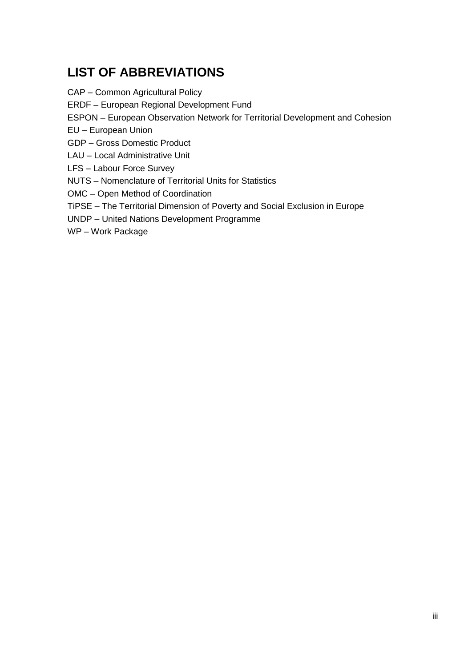# **LIST OF ABBREVIATIONS**

CAP – Common Agricultural Policy

ERDF – European Regional Development Fund

ESPON – European Observation Network for Territorial Development and Cohesion

EU – European Union

GDP – Gross Domestic Product

LAU – Local Administrative Unit

LFS – Labour Force Survey

NUTS – Nomenclature of Territorial Units for Statistics

OMC – Open Method of Coordination

TiPSE – The Territorial Dimension of Poverty and Social Exclusion in Europe

UNDP – United Nations Development Programme

WP – Work Package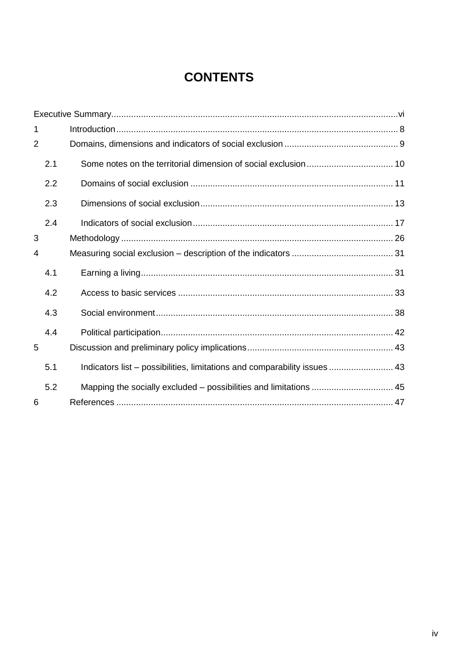# **CONTENTS**

| 1              |     |                                                                           |  |
|----------------|-----|---------------------------------------------------------------------------|--|
| $\overline{2}$ |     |                                                                           |  |
|                | 2.1 |                                                                           |  |
|                | 2.2 |                                                                           |  |
|                | 2.3 |                                                                           |  |
|                | 2.4 |                                                                           |  |
| 3              |     |                                                                           |  |
| 4              |     |                                                                           |  |
|                | 4.1 |                                                                           |  |
|                | 4.2 |                                                                           |  |
|                | 4.3 |                                                                           |  |
|                | 4.4 |                                                                           |  |
| 5              |     |                                                                           |  |
|                | 5.1 | Indicators list - possibilities, limitations and comparability issues  43 |  |
|                | 5.2 | Mapping the socially excluded – possibilities and limitations  45         |  |
| 6              |     |                                                                           |  |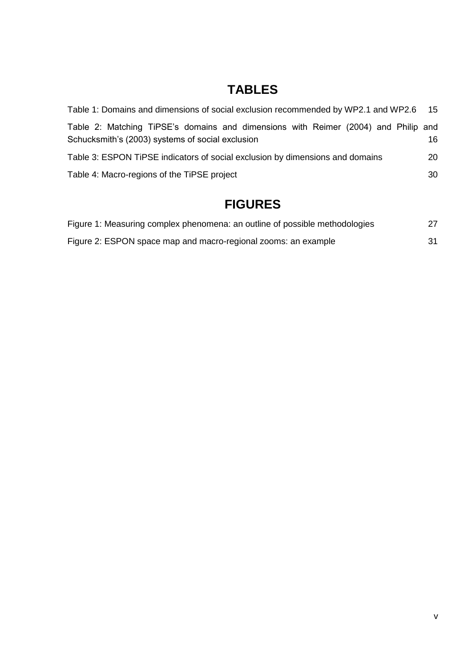# **TABLES**

| Table 1: Domains and dimensions of social exclusion recommended by WP2.1 and WP2.6 15                                                  |     |
|----------------------------------------------------------------------------------------------------------------------------------------|-----|
| Table 2: Matching TiPSE's domains and dimensions with Reimer (2004) and Philip and<br>Schucksmith's (2003) systems of social exclusion | 16. |
| Table 3: ESPON TIPSE indicators of social exclusion by dimensions and domains                                                          | 20  |
| Table 4: Macro-regions of the TiPSE project                                                                                            | 30  |
|                                                                                                                                        |     |

# **FIGURES**

| Figure 1: Measuring complex phenomena: an outline of possible methodologies | 27 |
|-----------------------------------------------------------------------------|----|
| Figure 2: ESPON space map and macro-regional zooms: an example              | 31 |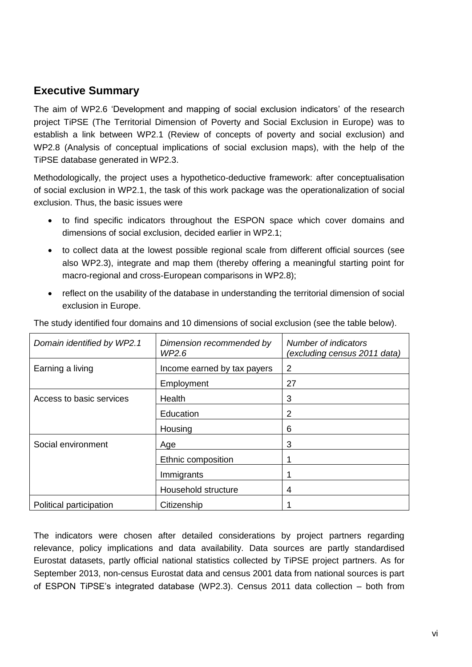## <span id="page-6-0"></span>**Executive Summary**

The aim of WP2.6 'Development and mapping of social exclusion indicators' of the research project TiPSE (The Territorial Dimension of Poverty and Social Exclusion in Europe) was to establish a link between WP2.1 (Review of concepts of poverty and social exclusion) and WP2.8 (Analysis of conceptual implications of social exclusion maps), with the help of the TiPSE database generated in WP2.3.

Methodologically, the project uses a hypothetico-deductive framework: after conceptualisation of social exclusion in WP2.1, the task of this work package was the operationalization of social exclusion. Thus, the basic issues were

- to find specific indicators throughout the ESPON space which cover domains and dimensions of social exclusion, decided earlier in WP2.1;
- to collect data at the lowest possible regional scale from different official sources (see also WP2.3), integrate and map them (thereby offering a meaningful starting point for macro-regional and cross-European comparisons in WP2.8);
- reflect on the usability of the database in understanding the territorial dimension of social exclusion in Europe.

| Domain identified by WP2.1 | Dimension recommended by<br>WP2.6 | Number of indicators<br>(excluding census 2011 data) |
|----------------------------|-----------------------------------|------------------------------------------------------|
| Earning a living           | Income earned by tax payers       | 2                                                    |
|                            | Employment                        | 27                                                   |
| Access to basic services   | Health                            | 3                                                    |
|                            | Education                         | 2                                                    |
|                            | Housing                           | 6                                                    |
| Social environment         | Age                               | 3                                                    |
|                            | Ethnic composition                |                                                      |
|                            | Immigrants                        |                                                      |
|                            | Household structure               | 4                                                    |
| Political participation    | Citizenship                       |                                                      |

The study identified four domains and 10 dimensions of social exclusion (see the table below).

The indicators were chosen after detailed considerations by project partners regarding relevance, policy implications and data availability. Data sources are partly standardised Eurostat datasets, partly official national statistics collected by TiPSE project partners. As for September 2013, non-census Eurostat data and census 2001 data from national sources is part of ESPON TiPSE's integrated database (WP2.3). Census 2011 data collection – both from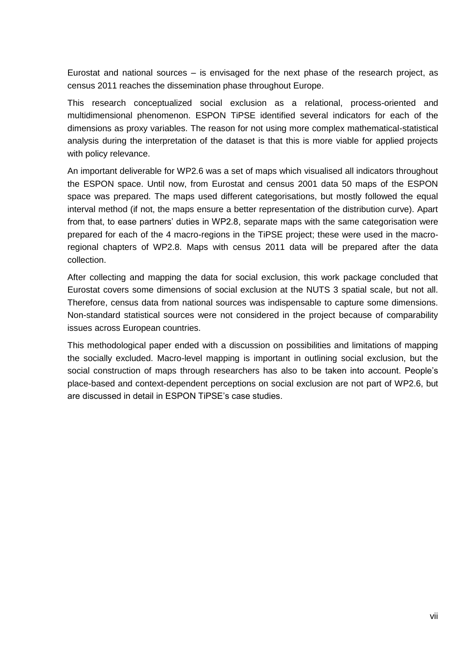Eurostat and national sources – is envisaged for the next phase of the research project, as census 2011 reaches the dissemination phase throughout Europe.

This research conceptualized social exclusion as a relational, process-oriented and multidimensional phenomenon. ESPON TiPSE identified several indicators for each of the dimensions as proxy variables. The reason for not using more complex mathematical-statistical analysis during the interpretation of the dataset is that this is more viable for applied projects with policy relevance.

An important deliverable for WP2.6 was a set of maps which visualised all indicators throughout the ESPON space. Until now, from Eurostat and census 2001 data 50 maps of the ESPON space was prepared. The maps used different categorisations, but mostly followed the equal interval method (if not, the maps ensure a better representation of the distribution curve). Apart from that, to ease partners' duties in WP2.8, separate maps with the same categorisation were prepared for each of the 4 macro-regions in the TiPSE project; these were used in the macroregional chapters of WP2.8. Maps with census 2011 data will be prepared after the data collection.

After collecting and mapping the data for social exclusion, this work package concluded that Eurostat covers some dimensions of social exclusion at the NUTS 3 spatial scale, but not all. Therefore, census data from national sources was indispensable to capture some dimensions. Non-standard statistical sources were not considered in the project because of comparability issues across European countries.

This methodological paper ended with a discussion on possibilities and limitations of mapping the socially excluded. Macro-level mapping is important in outlining social exclusion, but the social construction of maps through researchers has also to be taken into account. People's place-based and context-dependent perceptions on social exclusion are not part of WP2.6, but are discussed in detail in ESPON TiPSE's case studies.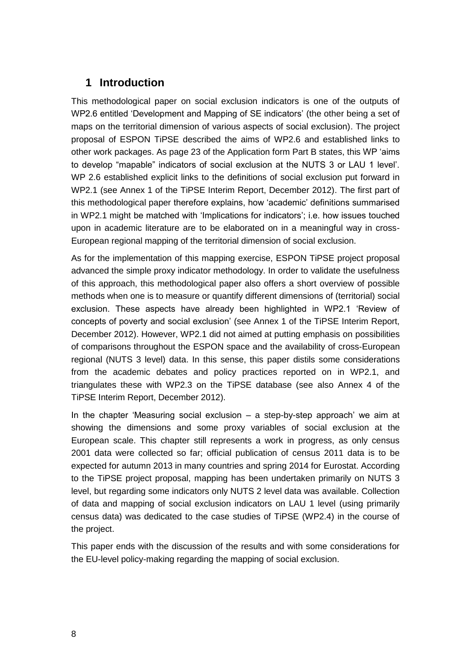## <span id="page-9-0"></span>**1 Introduction**

This methodological paper on social exclusion indicators is one of the outputs of WP2.6 entitled 'Development and Mapping of SE indicators' (the other being a set of maps on the territorial dimension of various aspects of social exclusion). The project proposal of ESPON TiPSE described the aims of WP2.6 and established links to other work packages. As page 23 of the Application form Part B states, this WP 'aims to develop "mapable" indicators of social exclusion at the NUTS 3 or LAU 1 level'. WP 2.6 established explicit links to the definitions of social exclusion put forward in WP2.1 (see Annex 1 of the TiPSE Interim Report, December 2012). The first part of this methodological paper therefore explains, how 'academic' definitions summarised in WP2.1 might be matched with 'Implications for indicators'; i.e. how issues touched upon in academic literature are to be elaborated on in a meaningful way in cross-European regional mapping of the territorial dimension of social exclusion.

As for the implementation of this mapping exercise, ESPON TiPSE project proposal advanced the simple proxy indicator methodology. In order to validate the usefulness of this approach, this methodological paper also offers a short overview of possible methods when one is to measure or quantify different dimensions of (territorial) social exclusion. These aspects have already been highlighted in WP2.1 'Review of concepts of poverty and social exclusion' (see Annex 1 of the TiPSE Interim Report, December 2012). However, WP2.1 did not aimed at putting emphasis on possibilities of comparisons throughout the ESPON space and the availability of cross-European regional (NUTS 3 level) data. In this sense, this paper distils some considerations from the academic debates and policy practices reported on in WP2.1, and triangulates these with WP2.3 on the TiPSE database (see also Annex 4 of the TiPSE Interim Report, December 2012).

In the chapter 'Measuring social exclusion – a step-by-step approach' we aim at showing the dimensions and some proxy variables of social exclusion at the European scale. This chapter still represents a work in progress, as only census 2001 data were collected so far; official publication of census 2011 data is to be expected for autumn 2013 in many countries and spring 2014 for Eurostat. According to the TiPSE project proposal, mapping has been undertaken primarily on NUTS 3 level, but regarding some indicators only NUTS 2 level data was available. Collection of data and mapping of social exclusion indicators on LAU 1 level (using primarily census data) was dedicated to the case studies of TiPSE (WP2.4) in the course of the project.

This paper ends with the discussion of the results and with some considerations for the EU-level policy-making regarding the mapping of social exclusion.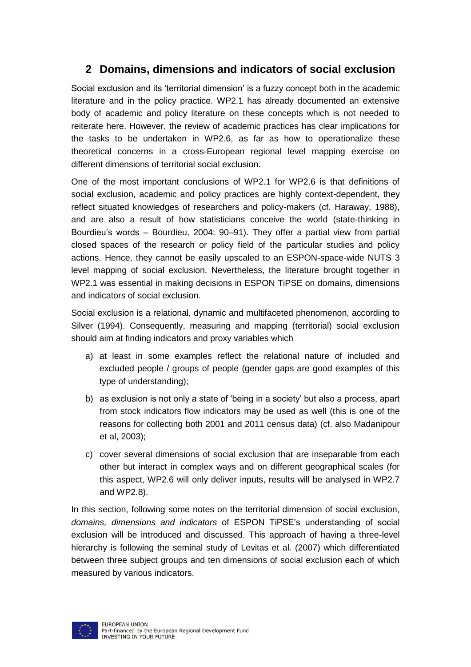# <span id="page-10-0"></span>**2 Domains, dimensions and indicators of social exclusion**

Social exclusion and its 'territorial dimension' is a fuzzy concept both in the academic literature and in the policy practice. WP2.1 has already documented an extensive body of academic and policy literature on these concepts which is not needed to reiterate here. However, the review of academic practices has clear implications for the tasks to be undertaken in WP2.6, as far as how to operationalize these theoretical concerns in a cross-European regional level mapping exercise on different dimensions of territorial social exclusion.

One of the most important conclusions of WP2.1 for WP2.6 is that definitions of social exclusion, academic and policy practices are highly context-dependent, they reflect situated knowledges of researchers and policy-makers (cf. Haraway, 1988), and are also a result of how statisticians conceive the world (state-thinking in Bourdieu's words – Bourdieu, 2004: 90–91). They offer a partial view from partial closed spaces of the research or policy field of the particular studies and policy actions. Hence, they cannot be easily upscaled to an ESPON-space-wide NUTS 3 level mapping of social exclusion. Nevertheless, the literature brought together in WP2.1 was essential in making decisions in ESPON TiPSE on domains, dimensions and indicators of social exclusion.

Social exclusion is a relational, dynamic and multifaceted phenomenon, according to Silver (1994). Consequently, measuring and mapping (territorial) social exclusion should aim at finding indicators and proxy variables which

- a) at least in some examples reflect the relational nature of included and excluded people / groups of people (gender gaps are good examples of this type of understanding);
- b) as exclusion is not only a state of 'being in a society' but also a process, apart from stock indicators flow indicators may be used as well (this is one of the reasons for collecting both 2001 and 2011 census data) (cf. also Madanipour et al, 2003);
- c) cover several dimensions of social exclusion that are inseparable from each other but interact in complex ways and on different geographical scales (for this aspect, WP2.6 will only deliver inputs, results will be analysed in WP2.7 and WP2.8).

In this section, following some notes on the territorial dimension of social exclusion, *domains, dimensions and indicators* of ESPON TiPSE's understanding of social exclusion will be introduced and discussed. This approach of having a three-level hierarchy is following the seminal study of Levitas et al. (2007) which differentiated between three subject groups and ten dimensions of social exclusion each of which measured by various indicators.

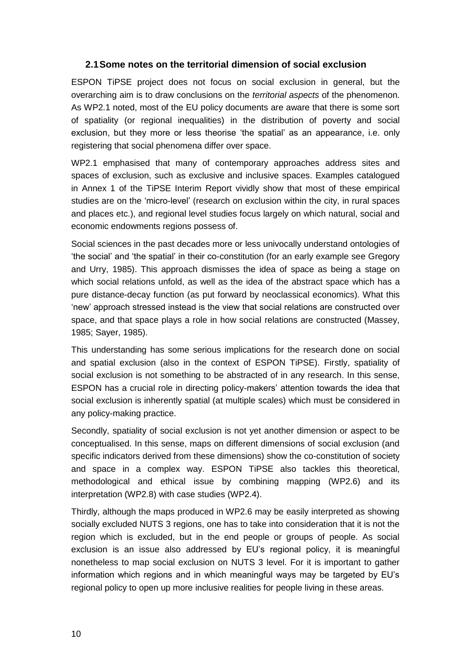#### <span id="page-11-0"></span>**2.1Some notes on the territorial dimension of social exclusion**

ESPON TiPSE project does not focus on social exclusion in general, but the overarching aim is to draw conclusions on the *territorial aspects* of the phenomenon. As WP2.1 noted, most of the EU policy documents are aware that there is some sort of spatiality (or regional inequalities) in the distribution of poverty and social exclusion, but they more or less theorise 'the spatial' as an appearance, i.e. only registering that social phenomena differ over space.

WP2.1 emphasised that many of contemporary approaches address sites and spaces of exclusion, such as exclusive and inclusive spaces. Examples catalogued in Annex 1 of the TiPSE Interim Report vividly show that most of these empirical studies are on the 'micro-level' (research on exclusion within the city, in rural spaces and places etc.), and regional level studies focus largely on which natural, social and economic endowments regions possess of.

Social sciences in the past decades more or less univocally understand ontologies of 'the social' and 'the spatial' in their co-constitution (for an early example see Gregory and Urry, 1985). This approach dismisses the idea of space as being a stage on which social relations unfold, as well as the idea of the abstract space which has a pure distance-decay function (as put forward by neoclassical economics). What this 'new' approach stressed instead is the view that social relations are constructed over space, and that space plays a role in how social relations are constructed (Massey, 1985; Sayer, 1985).

This understanding has some serious implications for the research done on social and spatial exclusion (also in the context of ESPON TiPSE). Firstly, spatiality of social exclusion is not something to be abstracted of in any research. In this sense, ESPON has a crucial role in directing policy-makers' attention towards the idea that social exclusion is inherently spatial (at multiple scales) which must be considered in any policy-making practice.

Secondly, spatiality of social exclusion is not yet another dimension or aspect to be conceptualised. In this sense, maps on different dimensions of social exclusion (and specific indicators derived from these dimensions) show the co-constitution of society and space in a complex way. ESPON TiPSE also tackles this theoretical, methodological and ethical issue by combining mapping (WP2.6) and its interpretation (WP2.8) with case studies (WP2.4).

Thirdly, although the maps produced in WP2.6 may be easily interpreted as showing socially excluded NUTS 3 regions, one has to take into consideration that it is not the region which is excluded, but in the end people or groups of people. As social exclusion is an issue also addressed by EU's regional policy, it is meaningful nonetheless to map social exclusion on NUTS 3 level. For it is important to gather information which regions and in which meaningful ways may be targeted by EU's regional policy to open up more inclusive realities for people living in these areas.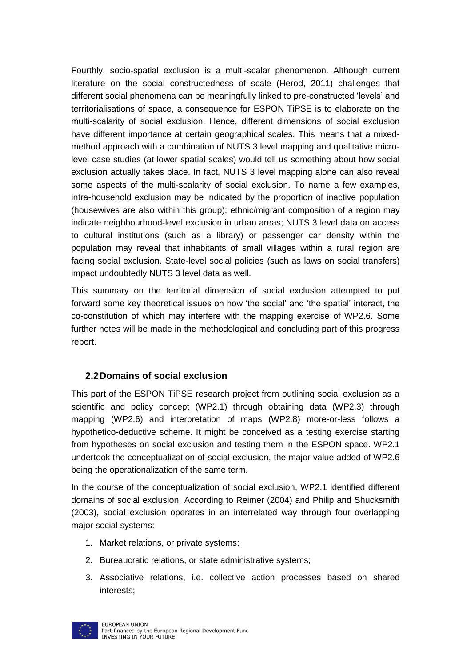Fourthly, socio-spatial exclusion is a multi-scalar phenomenon. Although current literature on the social constructedness of scale (Herod, 2011) challenges that different social phenomena can be meaningfully linked to pre-constructed 'levels' and territorialisations of space, a consequence for ESPON TiPSE is to elaborate on the multi-scalarity of social exclusion. Hence, different dimensions of social exclusion have different importance at certain geographical scales. This means that a mixedmethod approach with a combination of NUTS 3 level mapping and qualitative microlevel case studies (at lower spatial scales) would tell us something about how social exclusion actually takes place. In fact, NUTS 3 level mapping alone can also reveal some aspects of the multi-scalarity of social exclusion. To name a few examples, intra-household exclusion may be indicated by the proportion of inactive population (housewives are also within this group); ethnic/migrant composition of a region may indicate neighbourhood-level exclusion in urban areas; NUTS 3 level data on access to cultural institutions (such as a library) or passenger car density within the population may reveal that inhabitants of small villages within a rural region are facing social exclusion. State-level social policies (such as laws on social transfers) impact undoubtedly NUTS 3 level data as well.

This summary on the territorial dimension of social exclusion attempted to put forward some key theoretical issues on how 'the social' and 'the spatial' interact, the co-constitution of which may interfere with the mapping exercise of WP2.6. Some further notes will be made in the methodological and concluding part of this progress report.

#### <span id="page-12-0"></span>**2.2Domains of social exclusion**

This part of the ESPON TiPSE research project from outlining social exclusion as a scientific and policy concept (WP2.1) through obtaining data (WP2.3) through mapping (WP2.6) and interpretation of maps (WP2.8) more-or-less follows a hypothetico-deductive scheme. It might be conceived as a testing exercise starting from hypotheses on social exclusion and testing them in the ESPON space. WP2.1 undertook the conceptualization of social exclusion, the major value added of WP2.6 being the operationalization of the same term.

In the course of the conceptualization of social exclusion, WP2.1 identified different domains of social exclusion. According to Reimer (2004) and Philip and Shucksmith (2003), social exclusion operates in an interrelated way through four overlapping major social systems:

- 1. Market relations, or private systems;
- 2. Bureaucratic relations, or state administrative systems;
- 3. Associative relations, i.e. collective action processes based on shared interests;

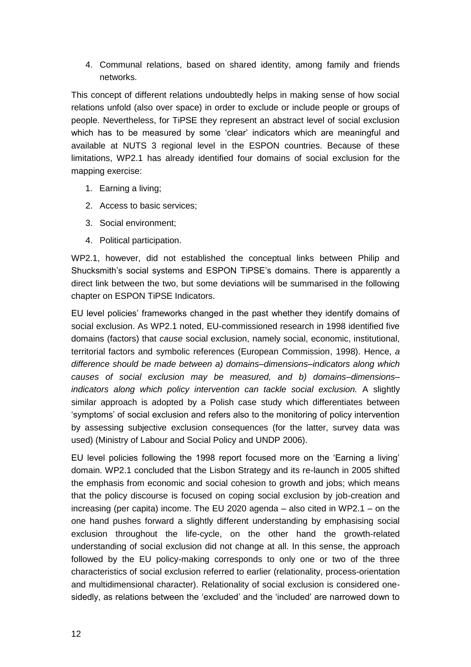4. Communal relations, based on shared identity, among family and friends networks.

This concept of different relations undoubtedly helps in making sense of how social relations unfold (also over space) in order to exclude or include people or groups of people. Nevertheless, for TiPSE they represent an abstract level of social exclusion which has to be measured by some 'clear' indicators which are meaningful and available at NUTS 3 regional level in the ESPON countries. Because of these limitations, WP2.1 has already identified four domains of social exclusion for the mapping exercise:

- 1. Earning a living;
- 2. Access to basic services;
- 3. Social environment;
- 4. Political participation.

WP2.1, however, did not established the conceptual links between Philip and Shucksmith's social systems and ESPON TiPSE's domains. There is apparently a direct link between the two, but some deviations will be summarised in the following chapter on ESPON TiPSE Indicators.

EU level policies' frameworks changed in the past whether they identify domains of social exclusion. As WP2.1 noted, EU-commissioned research in 1998 identified five domains (factors) that *cause* social exclusion, namely social, economic, institutional, territorial factors and symbolic references (European Commission, 1998). Hence, *a difference should be made between a) domains–dimensions–indicators along which causes of social exclusion may be measured, and b) domains–dimensions– indicators along which policy intervention can tackle social exclusion.* A slightly similar approach is adopted by a Polish case study which differentiates between 'symptoms' of social exclusion and refers also to the monitoring of policy intervention by assessing subjective exclusion consequences (for the latter, survey data was used) (Ministry of Labour and Social Policy and UNDP 2006).

EU level policies following the 1998 report focused more on the 'Earning a living' domain. WP2.1 concluded that the Lisbon Strategy and its re-launch in 2005 shifted the emphasis from economic and social cohesion to growth and jobs; which means that the policy discourse is focused on coping social exclusion by job-creation and increasing (per capita) income. The EU 2020 agenda – also cited in WP2.1 – on the one hand pushes forward a slightly different understanding by emphasising social exclusion throughout the life-cycle, on the other hand the growth-related understanding of social exclusion did not change at all. In this sense, the approach followed by the EU policy-making corresponds to only one or two of the three characteristics of social exclusion referred to earlier (relationality, process-orientation and multidimensional character). Relationality of social exclusion is considered onesidedly, as relations between the 'excluded' and the 'included' are narrowed down to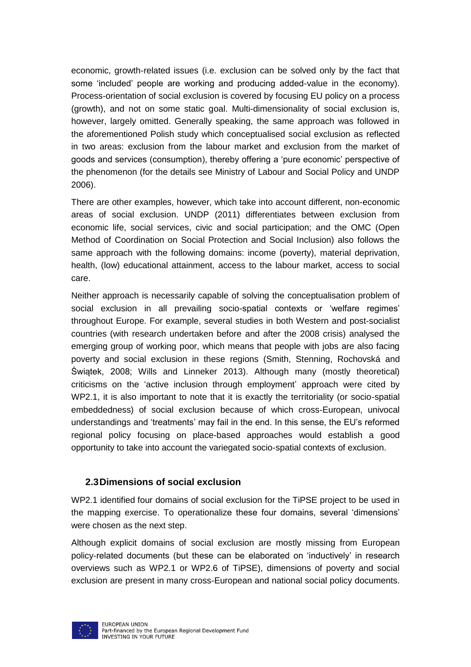economic, growth-related issues (i.e. exclusion can be solved only by the fact that some 'included' people are working and producing added-value in the economy). Process-orientation of social exclusion is covered by focusing EU policy on a process (growth), and not on some static goal. Multi-dimensionality of social exclusion is, however, largely omitted. Generally speaking, the same approach was followed in the aforementioned Polish study which conceptualised social exclusion as reflected in two areas: exclusion from the labour market and exclusion from the market of goods and services (consumption), thereby offering a 'pure economic' perspective of the phenomenon (for the details see Ministry of Labour and Social Policy and UNDP 2006).

There are other examples, however, which take into account different, non-economic areas of social exclusion. UNDP (2011) differentiates between exclusion from economic life, social services, civic and social participation; and the OMC (Open Method of Coordination on Social Protection and Social Inclusion) also follows the same approach with the following domains: income (poverty), material deprivation, health, (low) educational attainment, access to the labour market, access to social care.

Neither approach is necessarily capable of solving the conceptualisation problem of social exclusion in all prevailing socio-spatial contexts or 'welfare regimes' throughout Europe. For example, several studies in both Western and post-socialist countries (with research undertaken before and after the 2008 crisis) analysed the emerging group of working poor, which means that people with jobs are also facing poverty and social exclusion in these regions (Smith, Stenning, Rochovská and Świątek, 2008; Wills and Linneker 2013). Although many (mostly theoretical) criticisms on the 'active inclusion through employment' approach were cited by WP2.1, it is also important to note that it is exactly the territoriality (or socio-spatial embeddedness) of social exclusion because of which cross-European, univocal understandings and 'treatments' may fail in the end. In this sense, the EU's reformed regional policy focusing on place-based approaches would establish a good opportunity to take into account the variegated socio-spatial contexts of exclusion.

#### <span id="page-14-0"></span>**2.3Dimensions of social exclusion**

WP2.1 identified four domains of social exclusion for the TiPSE project to be used in the mapping exercise. To operationalize these four domains, several 'dimensions' were chosen as the next step.

Although explicit domains of social exclusion are mostly missing from European policy-related documents (but these can be elaborated on 'inductively' in research overviews such as WP2.1 or WP2.6 of TiPSE), dimensions of poverty and social exclusion are present in many cross-European and national social policy documents.

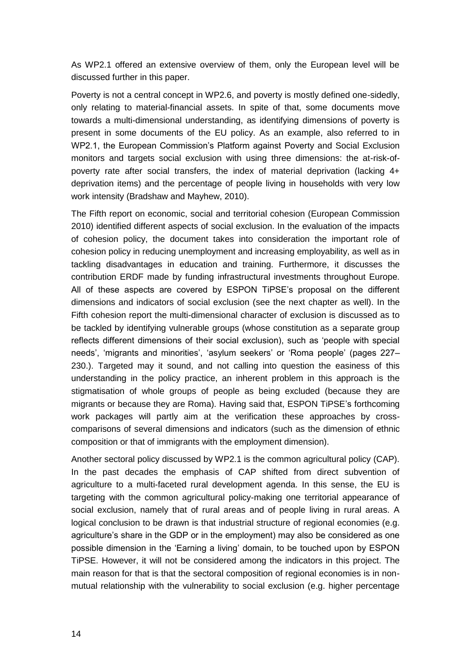As WP2.1 offered an extensive overview of them, only the European level will be discussed further in this paper.

Poverty is not a central concept in WP2.6, and poverty is mostly defined one-sidedly, only relating to material-financial assets. In spite of that, some documents move towards a multi-dimensional understanding, as identifying dimensions of poverty is present in some documents of the EU policy. As an example, also referred to in WP2.1, the European Commission's Platform against Poverty and Social Exclusion monitors and targets social exclusion with using three dimensions: the at-risk-ofpoverty rate after social transfers, the index of material deprivation (lacking 4+ deprivation items) and the percentage of people living in households with very low work intensity (Bradshaw and Mayhew, 2010).

The Fifth report on economic, social and territorial cohesion (European Commission 2010) identified different aspects of social exclusion. In the evaluation of the impacts of cohesion policy, the document takes into consideration the important role of cohesion policy in reducing unemployment and increasing employability, as well as in tackling disadvantages in education and training. Furthermore, it discusses the contribution ERDF made by funding infrastructural investments throughout Europe. All of these aspects are covered by ESPON TiPSE's proposal on the different dimensions and indicators of social exclusion (see the next chapter as well). In the Fifth cohesion report the multi-dimensional character of exclusion is discussed as to be tackled by identifying vulnerable groups (whose constitution as a separate group reflects different dimensions of their social exclusion), such as 'people with special needs', 'migrants and minorities', 'asylum seekers' or 'Roma people' (pages 227– 230.). Targeted may it sound, and not calling into question the easiness of this understanding in the policy practice, an inherent problem in this approach is the stigmatisation of whole groups of people as being excluded (because they are migrants or because they are Roma). Having said that, ESPON TiPSE's forthcoming work packages will partly aim at the verification these approaches by crosscomparisons of several dimensions and indicators (such as the dimension of ethnic composition or that of immigrants with the employment dimension).

Another sectoral policy discussed by WP2.1 is the common agricultural policy (CAP). In the past decades the emphasis of CAP shifted from direct subvention of agriculture to a multi-faceted rural development agenda. In this sense, the EU is targeting with the common agricultural policy-making one territorial appearance of social exclusion, namely that of rural areas and of people living in rural areas. A logical conclusion to be drawn is that industrial structure of regional economies (e.g. agriculture's share in the GDP or in the employment) may also be considered as one possible dimension in the 'Earning a living' domain, to be touched upon by ESPON TiPSE. However, it will not be considered among the indicators in this project. The main reason for that is that the sectoral composition of regional economies is in nonmutual relationship with the vulnerability to social exclusion (e.g. higher percentage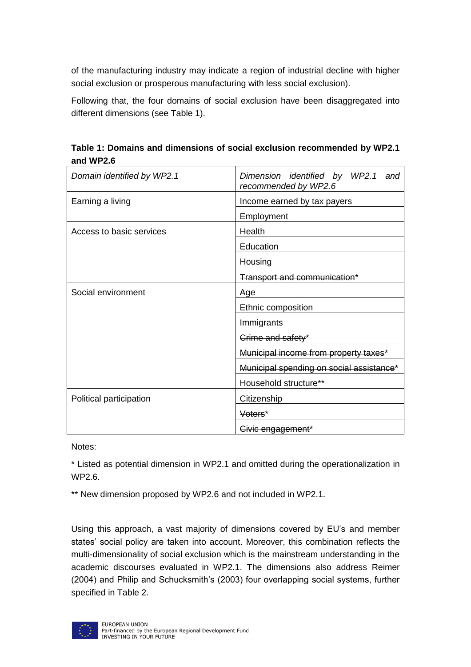of the manufacturing industry may indicate a region of industrial decline with higher social exclusion or prosperous manufacturing with less social exclusion).

Following that, the four domains of social exclusion have been disaggregated into different dimensions (see Table 1).

<span id="page-16-0"></span>**Table 1: Domains and dimensions of social exclusion recommended by WP2.1 and WP2.6**

| Domain identified by WP2.1 | Dimension identified by WP2.1 and<br>recommended by WP2.6 |  |  |
|----------------------------|-----------------------------------------------------------|--|--|
| Earning a living           | Income earned by tax payers                               |  |  |
|                            | Employment                                                |  |  |
| Access to basic services   | Health                                                    |  |  |
|                            | Education                                                 |  |  |
|                            | Housing                                                   |  |  |
|                            | Transport and communication*                              |  |  |
| Social environment         | Age                                                       |  |  |
|                            | Ethnic composition                                        |  |  |
|                            | Immigrants                                                |  |  |
|                            | Crime and safety*                                         |  |  |
|                            | Municipal income from property taxes*                     |  |  |
|                            | Municipal spending on social assistance*                  |  |  |
|                            | Household structure**                                     |  |  |
| Political participation    | Citizenship                                               |  |  |
|                            | Voters*                                                   |  |  |
|                            | Civic engagement*                                         |  |  |

Notes:

\* Listed as potential dimension in WP2.1 and omitted during the operationalization in WP2.6.

\*\* New dimension proposed by WP2.6 and not included in WP2.1.

Using this approach, a vast majority of dimensions covered by EU's and member states' social policy are taken into account. Moreover, this combination reflects the multi-dimensionality of social exclusion which is the mainstream understanding in the academic discourses evaluated in WP2.1. The dimensions also address Reimer (2004) and Philip and Schucksmith's (2003) four overlapping social systems, further specified in Table 2.

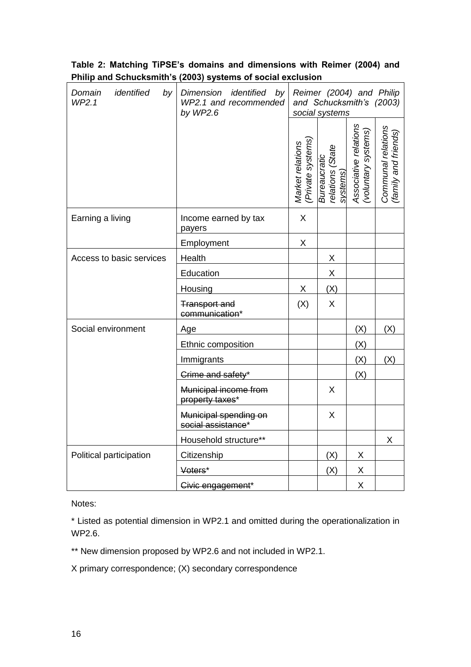| identified<br>Domain<br>by<br>WP2.1 | Dimension identified by<br>WP2.1 and recommended<br>by $WP2.6$ | Reimer (2004) and Philip<br>and Schucksmith's (2003)<br>social systems |                                              |                                            |                                            |
|-------------------------------------|----------------------------------------------------------------|------------------------------------------------------------------------|----------------------------------------------|--------------------------------------------|--------------------------------------------|
|                                     |                                                                | (Private systems)<br>Market relations                                  | relations (State<br>systems)<br>Bureaucratic | Associative relations<br>voluntary systems | Communal relations<br>(family and friends) |
| Earning a living                    | Income earned by tax<br>payers                                 | X                                                                      |                                              |                                            |                                            |
|                                     | Employment                                                     | X                                                                      |                                              |                                            |                                            |
| Access to basic services            | Health                                                         |                                                                        | X                                            |                                            |                                            |
|                                     | Education                                                      |                                                                        | Χ                                            |                                            |                                            |
|                                     | Housing                                                        | X                                                                      | (X)                                          |                                            |                                            |
|                                     | <b>Transport and</b><br>communication*                         | (X)                                                                    | X                                            |                                            |                                            |
| Social environment                  | Age                                                            |                                                                        |                                              | (X)                                        | (X)                                        |
|                                     | Ethnic composition                                             |                                                                        |                                              | (X)                                        |                                            |
|                                     | Immigrants                                                     |                                                                        |                                              | (X)                                        | (X)                                        |
|                                     | Crime and safety*                                              |                                                                        |                                              | (X)                                        |                                            |
|                                     | Municipal income from<br>property taxes*                       |                                                                        | X                                            |                                            |                                            |
|                                     | Municipal spending on<br>social assistance*                    |                                                                        | X                                            |                                            |                                            |
|                                     | Household structure**                                          |                                                                        |                                              |                                            | X                                          |
| Political participation             | Citizenship                                                    |                                                                        | (X)                                          | X                                          |                                            |
|                                     | Voters*                                                        |                                                                        | (X)                                          | X                                          |                                            |
|                                     | Civic engagement*                                              |                                                                        |                                              | X                                          |                                            |

#### <span id="page-17-0"></span>**Table 2: Matching TiPSE's domains and dimensions with Reimer (2004) and Philip and Schucksmith's (2003) systems of social exclusion**

Notes:

\* Listed as potential dimension in WP2.1 and omitted during the operationalization in WP2.6.

\*\* New dimension proposed by WP2.6 and not included in WP2.1.

X primary correspondence; (X) secondary correspondence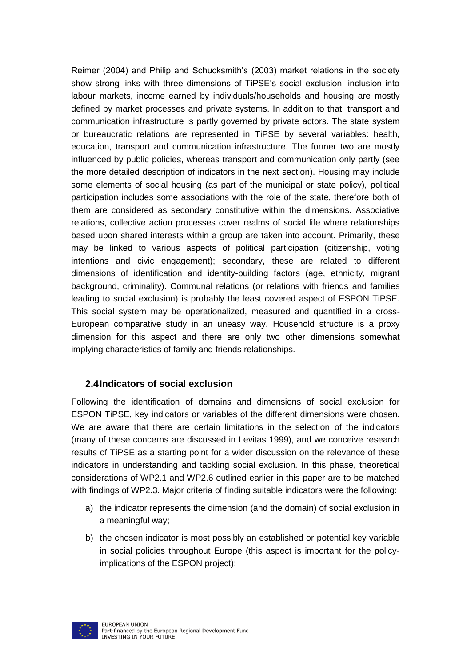Reimer (2004) and Philip and Schucksmith's (2003) market relations in the society show strong links with three dimensions of TiPSE's social exclusion: inclusion into labour markets, income earned by individuals/households and housing are mostly defined by market processes and private systems. In addition to that, transport and communication infrastructure is partly governed by private actors. The state system or bureaucratic relations are represented in TiPSE by several variables: health, education, transport and communication infrastructure. The former two are mostly influenced by public policies, whereas transport and communication only partly (see the more detailed description of indicators in the next section). Housing may include some elements of social housing (as part of the municipal or state policy), political participation includes some associations with the role of the state, therefore both of them are considered as secondary constitutive within the dimensions. Associative relations, collective action processes cover realms of social life where relationships based upon shared interests within a group are taken into account. Primarily, these may be linked to various aspects of political participation (citizenship, voting intentions and civic engagement); secondary, these are related to different dimensions of identification and identity-building factors (age, ethnicity, migrant background, criminality). Communal relations (or relations with friends and families leading to social exclusion) is probably the least covered aspect of ESPON TiPSE. This social system may be operationalized, measured and quantified in a cross-European comparative study in an uneasy way. Household structure is a proxy dimension for this aspect and there are only two other dimensions somewhat implying characteristics of family and friends relationships.

#### <span id="page-18-0"></span>**2.4Indicators of social exclusion**

Following the identification of domains and dimensions of social exclusion for ESPON TiPSE, key indicators or variables of the different dimensions were chosen. We are aware that there are certain limitations in the selection of the indicators (many of these concerns are discussed in Levitas 1999), and we conceive research results of TiPSE as a starting point for a wider discussion on the relevance of these indicators in understanding and tackling social exclusion. In this phase, theoretical considerations of WP2.1 and WP2.6 outlined earlier in this paper are to be matched with findings of WP2.3. Major criteria of finding suitable indicators were the following:

- a) the indicator represents the dimension (and the domain) of social exclusion in a meaningful way;
- b) the chosen indicator is most possibly an established or potential key variable in social policies throughout Europe (this aspect is important for the policyimplications of the ESPON project);

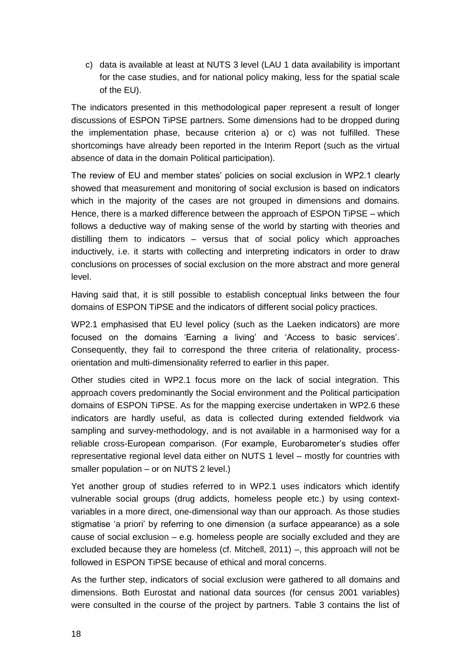c) data is available at least at NUTS 3 level (LAU 1 data availability is important for the case studies, and for national policy making, less for the spatial scale of the EU).

The indicators presented in this methodological paper represent a result of longer discussions of ESPON TiPSE partners. Some dimensions had to be dropped during the implementation phase, because criterion a) or c) was not fulfilled. These shortcomings have already been reported in the Interim Report (such as the virtual absence of data in the domain Political participation).

The review of EU and member states' policies on social exclusion in WP2.1 clearly showed that measurement and monitoring of social exclusion is based on indicators which in the majority of the cases are not grouped in dimensions and domains. Hence, there is a marked difference between the approach of ESPON TiPSE – which follows a deductive way of making sense of the world by starting with theories and distilling them to indicators – versus that of social policy which approaches inductively, i.e. it starts with collecting and interpreting indicators in order to draw conclusions on processes of social exclusion on the more abstract and more general level.

Having said that, it is still possible to establish conceptual links between the four domains of ESPON TiPSE and the indicators of different social policy practices.

WP2.1 emphasised that EU level policy (such as the Laeken indicators) are more focused on the domains 'Earning a living' and 'Access to basic services'. Consequently, they fail to correspond the three criteria of relationality, processorientation and multi-dimensionality referred to earlier in this paper.

Other studies cited in WP2.1 focus more on the lack of social integration. This approach covers predominantly the Social environment and the Political participation domains of ESPON TiPSE. As for the mapping exercise undertaken in WP2.6 these indicators are hardly useful, as data is collected during extended fieldwork via sampling and survey-methodology, and is not available in a harmonised way for a reliable cross-European comparison. (For example, Eurobarometer's studies offer representative regional level data either on NUTS 1 level – mostly for countries with smaller population – or on NUTS 2 level.)

Yet another group of studies referred to in WP2.1 uses indicators which identify vulnerable social groups (drug addicts, homeless people etc.) by using contextvariables in a more direct, one-dimensional way than our approach. As those studies stigmatise 'a priori' by referring to one dimension (a surface appearance) as a sole cause of social exclusion – e.g. homeless people are socially excluded and they are excluded because they are homeless (cf. Mitchell, 2011) –, this approach will not be followed in ESPON TiPSE because of ethical and moral concerns.

As the further step, indicators of social exclusion were gathered to all domains and dimensions. Both Eurostat and national data sources (for census 2001 variables) were consulted in the course of the project by partners. Table 3 contains the list of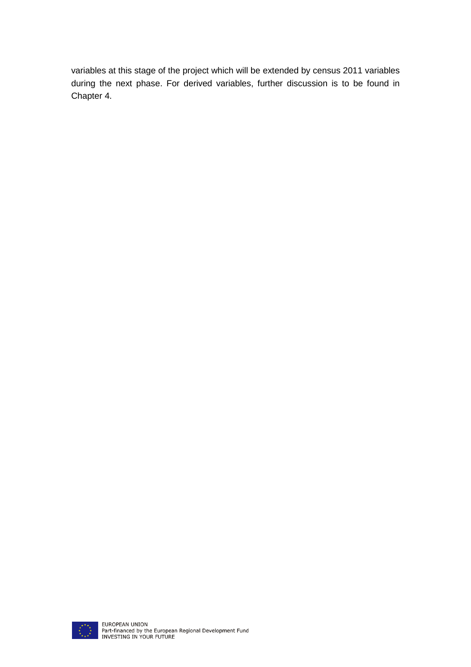variables at this stage of the project which will be extended by census 2011 variables during the next phase. For derived variables, further discussion is to be found in Chapter 4.

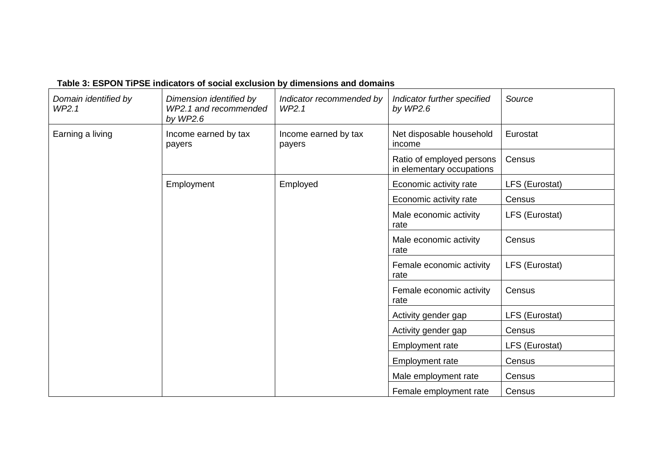#### **Table 3: ESPON TiPSE indicators of social exclusion by dimensions and domains**

<span id="page-21-0"></span>

| Domain identified by<br>WP2.1 | Dimension identified by<br>WP2.1 and recommended<br>by $WP2.6$ | Indicator recommended by<br>WP2.1 | Indicator further specified<br>by $WP2.6$              | Source         |
|-------------------------------|----------------------------------------------------------------|-----------------------------------|--------------------------------------------------------|----------------|
| Earning a living              | Income earned by tax<br>payers                                 | Income earned by tax<br>payers    | Net disposable household<br>income                     | Eurostat       |
|                               |                                                                |                                   | Ratio of employed persons<br>in elementary occupations | Census         |
|                               | Employment                                                     | Employed                          | Economic activity rate                                 | LFS (Eurostat) |
|                               |                                                                |                                   | Economic activity rate                                 | Census         |
|                               |                                                                |                                   | Male economic activity<br>rate                         | LFS (Eurostat) |
|                               |                                                                |                                   | Male economic activity<br>rate                         | Census         |
|                               |                                                                |                                   | Female economic activity<br>rate                       | LFS (Eurostat) |
|                               |                                                                |                                   | Female economic activity<br>rate                       | Census         |
|                               |                                                                |                                   | Activity gender gap                                    | LFS (Eurostat) |
|                               |                                                                |                                   | Activity gender gap                                    | Census         |
|                               |                                                                |                                   | <b>Employment rate</b>                                 | LFS (Eurostat) |
|                               |                                                                |                                   | <b>Employment rate</b>                                 | Census         |
|                               |                                                                |                                   | Male employment rate                                   | Census         |
|                               |                                                                |                                   | Female employment rate                                 | Census         |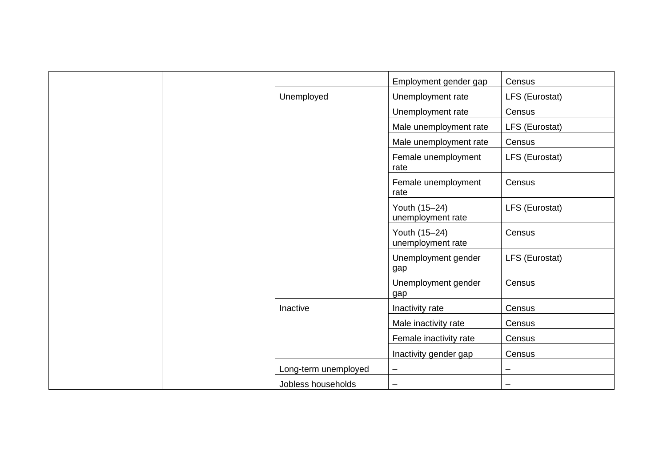|                      | Employment gender gap              | Census         |
|----------------------|------------------------------------|----------------|
| Unemployed           | Unemployment rate                  | LFS (Eurostat) |
|                      | Unemployment rate                  | Census         |
|                      | Male unemployment rate             | LFS (Eurostat) |
|                      | Male unemployment rate             | Census         |
|                      | Female unemployment<br>rate        | LFS (Eurostat) |
|                      | Female unemployment<br>rate        | Census         |
|                      | Youth (15-24)<br>unemployment rate | LFS (Eurostat) |
|                      | Youth (15-24)<br>unemployment rate | Census         |
|                      | Unemployment gender<br>gap         | LFS (Eurostat) |
|                      | Unemployment gender<br>gap         | Census         |
| Inactive             | Inactivity rate                    | Census         |
|                      | Male inactivity rate               | Census         |
|                      | Female inactivity rate             | Census         |
|                      | Inactivity gender gap              | Census         |
| Long-term unemployed | $\qquad \qquad -$                  | —              |
| Jobless households   | -                                  | -              |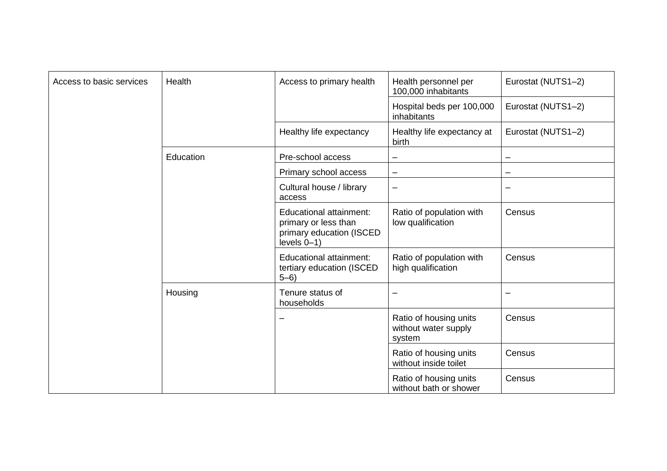| Access to basic services | Health    | Access to primary health                                                                     | Health personnel per<br>100,000 inhabitants              | Eurostat (NUTS1-2) |
|--------------------------|-----------|----------------------------------------------------------------------------------------------|----------------------------------------------------------|--------------------|
|                          |           |                                                                                              | Hospital beds per 100,000<br>inhabitants                 | Eurostat (NUTS1-2) |
|                          |           | Healthy life expectancy                                                                      | Healthy life expectancy at<br>birth                      | Eurostat (NUTS1-2) |
|                          | Education | Pre-school access                                                                            | —                                                        |                    |
|                          |           | Primary school access                                                                        | -                                                        |                    |
|                          |           | Cultural house / library<br>access                                                           | -                                                        |                    |
|                          |           | Educational attainment:<br>primary or less than<br>primary education (ISCED<br>$levels 0-1)$ | Ratio of population with<br>low qualification            | Census             |
|                          |           | Educational attainment:<br>tertiary education (ISCED<br>$5 - 6$                              | Ratio of population with<br>high qualification           | Census             |
|                          | Housing   | Tenure status of<br>households                                                               | -                                                        | -                  |
|                          |           | $\overline{\phantom{0}}$                                                                     | Ratio of housing units<br>without water supply<br>system | Census             |
|                          |           |                                                                                              | Ratio of housing units<br>without inside toilet          | Census             |
|                          |           |                                                                                              | Ratio of housing units<br>without bath or shower         | Census             |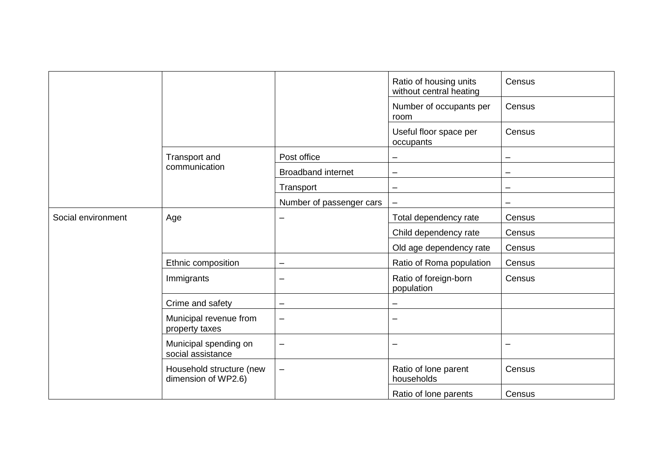|                    |                                                                                                                                                                                                   |                           | Ratio of housing units<br>without central heating | Census                   |
|--------------------|---------------------------------------------------------------------------------------------------------------------------------------------------------------------------------------------------|---------------------------|---------------------------------------------------|--------------------------|
|                    |                                                                                                                                                                                                   |                           | Number of occupants per<br>room                   | Census                   |
|                    |                                                                                                                                                                                                   |                           | Useful floor space per<br>occupants               | Census                   |
|                    | Transport and                                                                                                                                                                                     | Post office               | $\overline{\phantom{0}}$                          | $\overline{\phantom{0}}$ |
|                    | communication                                                                                                                                                                                     | <b>Broadband internet</b> |                                                   | -                        |
|                    |                                                                                                                                                                                                   | Transport                 | $\overline{\phantom{0}}$                          | -                        |
|                    |                                                                                                                                                                                                   | Number of passenger cars  | $\overline{\phantom{m}}$                          | -                        |
| Social environment | Age                                                                                                                                                                                               |                           | Total dependency rate                             | Census                   |
|                    | Ethnic composition<br>Immigrants<br>Crime and safety<br>Municipal revenue from<br>property taxes<br>Municipal spending on<br>social assistance<br>Household structure (new<br>dimension of WP2.6) |                           | Child dependency rate                             | Census                   |
|                    |                                                                                                                                                                                                   |                           | Old age dependency rate                           | Census                   |
|                    |                                                                                                                                                                                                   | -                         | Ratio of Roma population                          | Census                   |
|                    |                                                                                                                                                                                                   |                           | Ratio of foreign-born<br>population               | Census                   |
|                    |                                                                                                                                                                                                   |                           |                                                   |                          |
|                    |                                                                                                                                                                                                   | $\overline{\phantom{0}}$  | $\overline{\phantom{0}}$                          |                          |
|                    |                                                                                                                                                                                                   | $\overline{\phantom{0}}$  | $\overline{\phantom{0}}$                          | $\overline{\phantom{0}}$ |
|                    |                                                                                                                                                                                                   |                           | Ratio of lone parent<br>households                | Census                   |
|                    |                                                                                                                                                                                                   |                           | Ratio of lone parents                             | Census                   |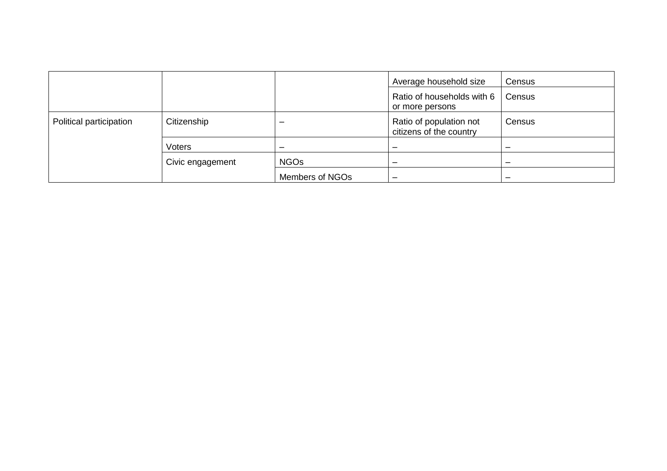|                         |                  |                 | Average household size                             | Census |
|-------------------------|------------------|-----------------|----------------------------------------------------|--------|
|                         |                  |                 | Ratio of households with 6<br>or more persons      | Census |
| Political participation | Citizenship      | -               | Ratio of population not<br>citizens of the country | Census |
|                         | Voters           | -               | $\overline{\phantom{0}}$                           |        |
|                         | Civic engagement | <b>NGOs</b>     | -                                                  |        |
|                         |                  | Members of NGOs |                                                    |        |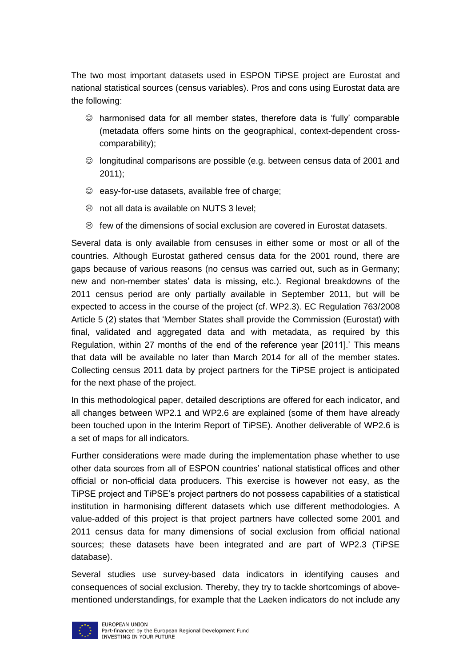The two most important datasets used in ESPON TiPSE project are Eurostat and national statistical sources (census variables). Pros and cons using Eurostat data are the following:

- harmonised data for all member states, therefore data is 'fully' comparable (metadata offers some hints on the geographical, context-dependent crosscomparability);
- $\heartsuit$  longitudinal comparisons are possible (e.g. between census data of 2001 and 2011);
- $\odot$  easy-for-use datasets, available free of charge;
- $\circledcirc$  not all data is available on NUTS 3 level;
- $\otimes$  few of the dimensions of social exclusion are covered in Eurostat datasets.

Several data is only available from censuses in either some or most or all of the countries. Although Eurostat gathered census data for the 2001 round, there are gaps because of various reasons (no census was carried out, such as in Germany; new and non-member states' data is missing, etc.). Regional breakdowns of the 2011 census period are only partially available in September 2011, but will be expected to access in the course of the project (cf. WP2.3). EC Regulation 763/2008 Article 5 (2) states that 'Member States shall provide the Commission (Eurostat) with final, validated and aggregated data and with metadata, as required by this Regulation, within 27 months of the end of the reference year [2011].' This means that data will be available no later than March 2014 for all of the member states. Collecting census 2011 data by project partners for the TiPSE project is anticipated for the next phase of the project.

In this methodological paper, detailed descriptions are offered for each indicator, and all changes between WP2.1 and WP2.6 are explained (some of them have already been touched upon in the Interim Report of TiPSE). Another deliverable of WP2.6 is a set of maps for all indicators.

Further considerations were made during the implementation phase whether to use other data sources from all of ESPON countries' national statistical offices and other official or non-official data producers. This exercise is however not easy, as the TiPSE project and TiPSE's project partners do not possess capabilities of a statistical institution in harmonising different datasets which use different methodologies. A value-added of this project is that project partners have collected some 2001 and 2011 census data for many dimensions of social exclusion from official national sources; these datasets have been integrated and are part of WP2.3 (TiPSE database).

Several studies use survey-based data indicators in identifying causes and consequences of social exclusion. Thereby, they try to tackle shortcomings of abovementioned understandings, for example that the Laeken indicators do not include any

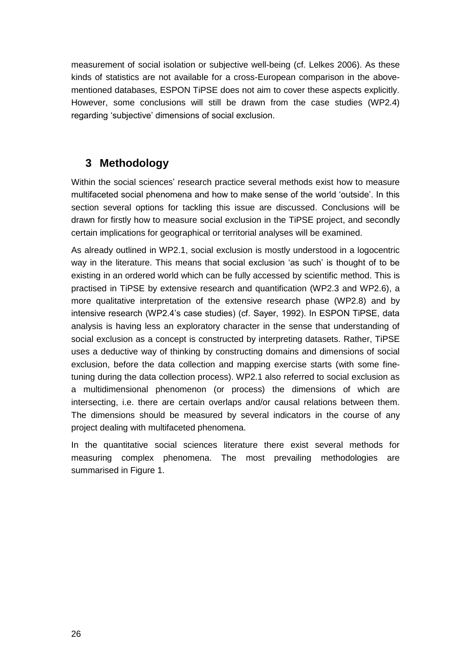measurement of social isolation or subjective well-being (cf. Lelkes 2006). As these kinds of statistics are not available for a cross-European comparison in the abovementioned databases, ESPON TiPSE does not aim to cover these aspects explicitly. However, some conclusions will still be drawn from the case studies (WP2.4) regarding 'subjective' dimensions of social exclusion.

## <span id="page-27-0"></span>**3 Methodology**

Within the social sciences' research practice several methods exist how to measure multifaceted social phenomena and how to make sense of the world 'outside'. In this section several options for tackling this issue are discussed. Conclusions will be drawn for firstly how to measure social exclusion in the TiPSE project, and secondly certain implications for geographical or territorial analyses will be examined.

As already outlined in WP2.1, social exclusion is mostly understood in a logocentric way in the literature. This means that social exclusion 'as such' is thought of to be existing in an ordered world which can be fully accessed by scientific method. This is practised in TiPSE by extensive research and quantification (WP2.3 and WP2.6), a more qualitative interpretation of the extensive research phase (WP2.8) and by intensive research (WP2.4's case studies) (cf. Sayer, 1992). In ESPON TiPSE, data analysis is having less an exploratory character in the sense that understanding of social exclusion as a concept is constructed by interpreting datasets. Rather, TiPSE uses a deductive way of thinking by constructing domains and dimensions of social exclusion, before the data collection and mapping exercise starts (with some finetuning during the data collection process). WP2.1 also referred to social exclusion as a multidimensional phenomenon (or process) the dimensions of which are intersecting, i.e. there are certain overlaps and/or causal relations between them. The dimensions should be measured by several indicators in the course of any project dealing with multifaceted phenomena.

In the quantitative social sciences literature there exist several methods for measuring complex phenomena. The most prevailing methodologies are summarised in Figure 1.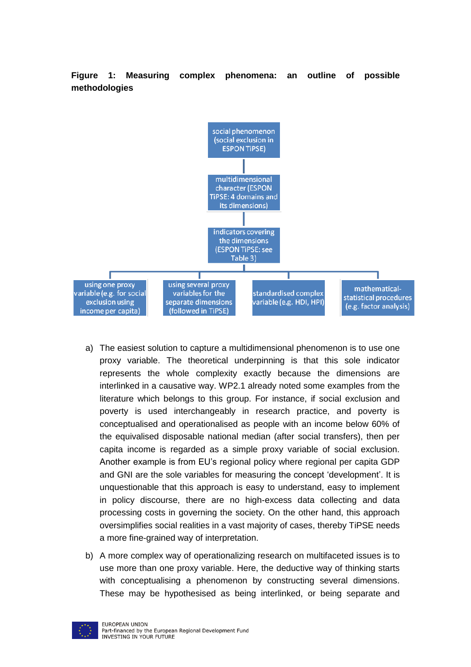<span id="page-28-0"></span>**Figure 1: Measuring complex phenomena: an outline of possible methodologies**



- a) The easiest solution to capture a multidimensional phenomenon is to use one proxy variable. The theoretical underpinning is that this sole indicator represents the whole complexity exactly because the dimensions are interlinked in a causative way. WP2.1 already noted some examples from the literature which belongs to this group. For instance, if social exclusion and poverty is used interchangeably in research practice, and poverty is conceptualised and operationalised as people with an income below 60% of the equivalised disposable national median (after social transfers), then per capita income is regarded as a simple proxy variable of social exclusion. Another example is from EU's regional policy where regional per capita GDP and GNI are the sole variables for measuring the concept 'development'. It is unquestionable that this approach is easy to understand, easy to implement in policy discourse, there are no high-excess data collecting and data processing costs in governing the society. On the other hand, this approach oversimplifies social realities in a vast majority of cases, thereby TiPSE needs a more fine-grained way of interpretation.
- b) A more complex way of operationalizing research on multifaceted issues is to use more than one proxy variable. Here, the deductive way of thinking starts with conceptualising a phenomenon by constructing several dimensions. These may be hypothesised as being interlinked, or being separate and

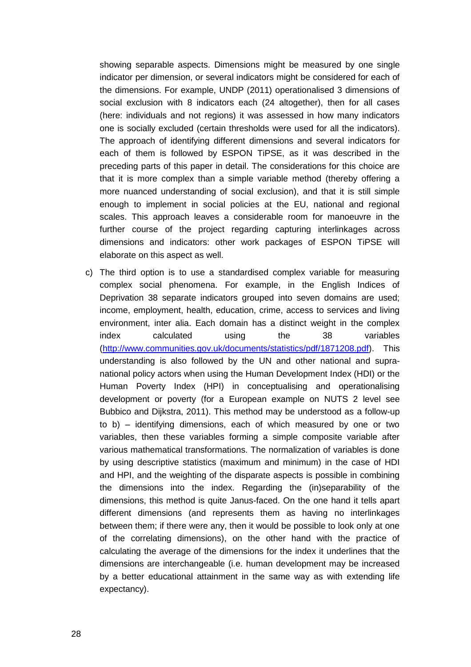showing separable aspects. Dimensions might be measured by one single indicator per dimension, or several indicators might be considered for each of the dimensions. For example, UNDP (2011) operationalised 3 dimensions of social exclusion with 8 indicators each (24 altogether), then for all cases (here: individuals and not regions) it was assessed in how many indicators one is socially excluded (certain thresholds were used for all the indicators). The approach of identifying different dimensions and several indicators for each of them is followed by ESPON TiPSE, as it was described in the preceding parts of this paper in detail. The considerations for this choice are that it is more complex than a simple variable method (thereby offering a more nuanced understanding of social exclusion), and that it is still simple enough to implement in social policies at the EU, national and regional scales. This approach leaves a considerable room for manoeuvre in the further course of the project regarding capturing interlinkages across dimensions and indicators: other work packages of ESPON TiPSE will elaborate on this aspect as well.

c) The third option is to use a standardised complex variable for measuring complex social phenomena. For example, in the English Indices of Deprivation 38 separate indicators grouped into seven domains are used; income, employment, health, education, crime, access to services and living environment, inter alia. Each domain has a distinct weight in the complex index calculated using the 38 variables [\(http://www.communities.gov.uk/documents/statistics/pdf/1871208.pdf\)](http://www.communities.gov.uk/documents/statistics/pdf/1871208.pdf). This understanding is also followed by the UN and other national and supranational policy actors when using the Human Development Index (HDI) or the Human Poverty Index (HPI) in conceptualising and operationalising development or poverty (for a European example on NUTS 2 level see Bubbico and Dijkstra, 2011). This method may be understood as a follow-up to b) – identifying dimensions, each of which measured by one or two variables, then these variables forming a simple composite variable after various mathematical transformations. The normalization of variables is done by using descriptive statistics (maximum and minimum) in the case of HDI and HPI, and the weighting of the disparate aspects is possible in combining the dimensions into the index. Regarding the (in)separability of the dimensions, this method is quite Janus-faced. On the one hand it tells apart different dimensions (and represents them as having no interlinkages between them; if there were any, then it would be possible to look only at one of the correlating dimensions), on the other hand with the practice of calculating the average of the dimensions for the index it underlines that the dimensions are interchangeable (i.e. human development may be increased by a better educational attainment in the same way as with extending life expectancy).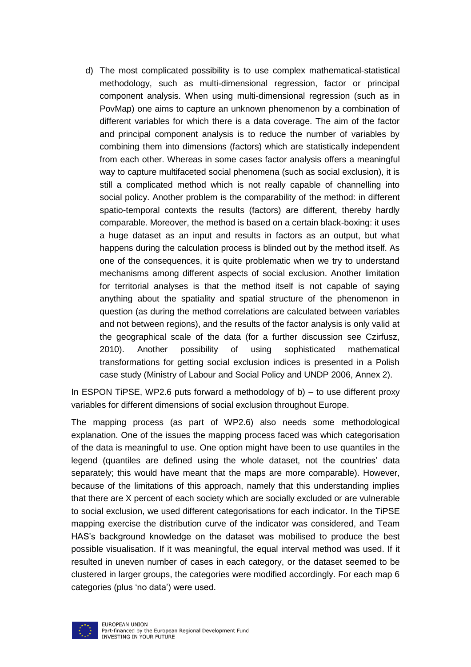d) The most complicated possibility is to use complex mathematical-statistical methodology, such as multi-dimensional regression, factor or principal component analysis. When using multi-dimensional regression (such as in PovMap) one aims to capture an unknown phenomenon by a combination of different variables for which there is a data coverage. The aim of the factor and principal component analysis is to reduce the number of variables by combining them into dimensions (factors) which are statistically independent from each other. Whereas in some cases factor analysis offers a meaningful way to capture multifaceted social phenomena (such as social exclusion), it is still a complicated method which is not really capable of channelling into social policy. Another problem is the comparability of the method: in different spatio-temporal contexts the results (factors) are different, thereby hardly comparable. Moreover, the method is based on a certain black-boxing: it uses a huge dataset as an input and results in factors as an output, but what happens during the calculation process is blinded out by the method itself. As one of the consequences, it is quite problematic when we try to understand mechanisms among different aspects of social exclusion. Another limitation for territorial analyses is that the method itself is not capable of saying anything about the spatiality and spatial structure of the phenomenon in question (as during the method correlations are calculated between variables and not between regions), and the results of the factor analysis is only valid at the geographical scale of the data (for a further discussion see Czirfusz, 2010). Another possibility of using sophisticated mathematical transformations for getting social exclusion indices is presented in a Polish case study (Ministry of Labour and Social Policy and UNDP 2006, Annex 2).

In ESPON TiPSE, WP2.6 puts forward a methodology of b) – to use different proxy variables for different dimensions of social exclusion throughout Europe.

The mapping process (as part of WP2.6) also needs some methodological explanation. One of the issues the mapping process faced was which categorisation of the data is meaningful to use. One option might have been to use quantiles in the legend (quantiles are defined using the whole dataset, not the countries' data separately; this would have meant that the maps are more comparable). However, because of the limitations of this approach, namely that this understanding implies that there are X percent of each society which are socially excluded or are vulnerable to social exclusion, we used different categorisations for each indicator. In the TiPSE mapping exercise the distribution curve of the indicator was considered, and Team HAS's background knowledge on the dataset was mobilised to produce the best possible visualisation. If it was meaningful, the equal interval method was used. If it resulted in uneven number of cases in each category, or the dataset seemed to be clustered in larger groups, the categories were modified accordingly. For each map 6 categories (plus 'no data') were used.

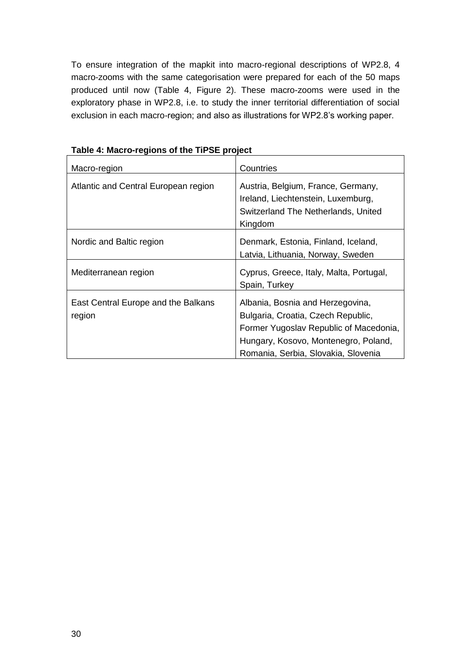To ensure integration of the mapkit into macro-regional descriptions of WP2.8, 4 macro-zooms with the same categorisation were prepared for each of the 50 maps produced until now (Table 4, Figure 2). These macro-zooms were used in the exploratory phase in WP2.8, i.e. to study the inner territorial differentiation of social exclusion in each macro-region; and also as illustrations for WP2.8's working paper.

| Macro-region                                  | Countries                                                                                                                                                                                       |
|-----------------------------------------------|-------------------------------------------------------------------------------------------------------------------------------------------------------------------------------------------------|
| Atlantic and Central European region          | Austria, Belgium, France, Germany,<br>Ireland, Liechtenstein, Luxemburg,<br>Switzerland The Netherlands, United<br>Kingdom                                                                      |
| Nordic and Baltic region                      | Denmark, Estonia, Finland, Iceland,<br>Latvia, Lithuania, Norway, Sweden                                                                                                                        |
| Mediterranean region                          | Cyprus, Greece, Italy, Malta, Portugal,<br>Spain, Turkey                                                                                                                                        |
| East Central Europe and the Balkans<br>region | Albania, Bosnia and Herzegovina,<br>Bulgaria, Croatia, Czech Republic,<br>Former Yugoslav Republic of Macedonia,<br>Hungary, Kosovo, Montenegro, Poland,<br>Romania, Serbia, Slovakia, Slovenia |

<span id="page-31-0"></span>**Table 4: Macro-regions of the TiPSE project**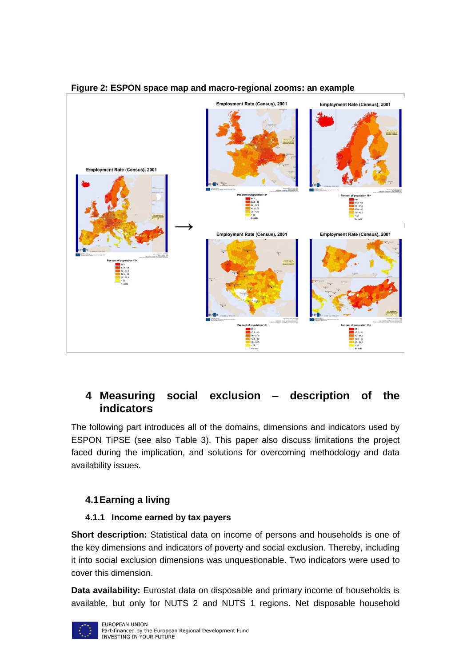

#### <span id="page-32-2"></span>**Figure 2: ESPON space map and macro-regional zooms: an example**

## <span id="page-32-0"></span>**4 Measuring social exclusion – description of the indicators**

The following part introduces all of the domains, dimensions and indicators used by ESPON TiPSE (see also Table 3). This paper also discuss limitations the project faced during the implication, and solutions for overcoming methodology and data availability issues.

#### <span id="page-32-1"></span>**4.1Earning a living**

#### **4.1.1 Income earned by tax payers**

**Short description:** Statistical data on income of persons and households is one of the key dimensions and indicators of poverty and social exclusion. Thereby, including it into social exclusion dimensions was unquestionable. Two indicators were used to cover this dimension.

**Data availability:** Eurostat data on disposable and primary income of households is available, but only for NUTS 2 and NUTS 1 regions. Net disposable household

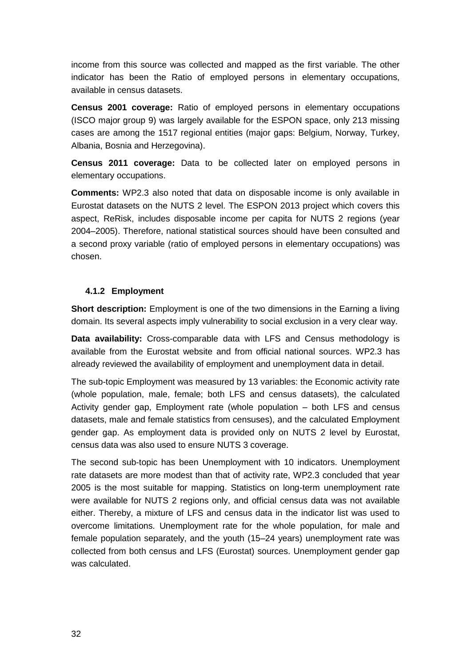income from this source was collected and mapped as the first variable. The other indicator has been the Ratio of employed persons in elementary occupations, available in census datasets.

**Census 2001 coverage:** Ratio of employed persons in elementary occupations (ISCO major group 9) was largely available for the ESPON space, only 213 missing cases are among the 1517 regional entities (major gaps: Belgium, Norway, Turkey, Albania, Bosnia and Herzegovina).

**Census 2011 coverage:** Data to be collected later on employed persons in elementary occupations.

**Comments:** WP2.3 also noted that data on disposable income is only available in Eurostat datasets on the NUTS 2 level. The ESPON 2013 project which covers this aspect, ReRisk, includes disposable income per capita for NUTS 2 regions (year 2004–2005). Therefore, national statistical sources should have been consulted and a second proxy variable (ratio of employed persons in elementary occupations) was chosen.

#### **4.1.2 Employment**

**Short description:** Employment is one of the two dimensions in the Earning a living domain. Its several aspects imply vulnerability to social exclusion in a very clear way.

**Data availability:** Cross-comparable data with LFS and Census methodology is available from the Eurostat website and from official national sources. WP2.3 has already reviewed the availability of employment and unemployment data in detail.

The sub-topic Employment was measured by 13 variables: the Economic activity rate (whole population, male, female; both LFS and census datasets), the calculated Activity gender gap, Employment rate (whole population – both LFS and census datasets, male and female statistics from censuses), and the calculated Employment gender gap. As employment data is provided only on NUTS 2 level by Eurostat, census data was also used to ensure NUTS 3 coverage.

The second sub-topic has been Unemployment with 10 indicators. Unemployment rate datasets are more modest than that of activity rate, WP2.3 concluded that year 2005 is the most suitable for mapping. Statistics on long-term unemployment rate were available for NUTS 2 regions only, and official census data was not available either. Thereby, a mixture of LFS and census data in the indicator list was used to overcome limitations. Unemployment rate for the whole population, for male and female population separately, and the youth (15–24 years) unemployment rate was collected from both census and LFS (Eurostat) sources. Unemployment gender gap was calculated.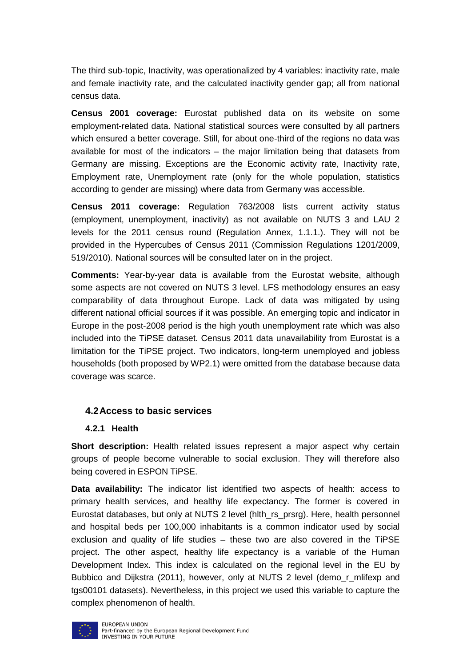The third sub-topic, Inactivity, was operationalized by 4 variables: inactivity rate, male and female inactivity rate, and the calculated inactivity gender gap; all from national census data.

**Census 2001 coverage:** Eurostat published data on its website on some employment-related data. National statistical sources were consulted by all partners which ensured a better coverage. Still, for about one-third of the regions no data was available for most of the indicators – the major limitation being that datasets from Germany are missing. Exceptions are the Economic activity rate, Inactivity rate, Employment rate, Unemployment rate (only for the whole population, statistics according to gender are missing) where data from Germany was accessible.

**Census 2011 coverage:** Regulation 763/2008 lists current activity status (employment, unemployment, inactivity) as not available on NUTS 3 and LAU 2 levels for the 2011 census round (Regulation Annex, 1.1.1.). They will not be provided in the Hypercubes of Census 2011 (Commission Regulations 1201/2009, 519/2010). National sources will be consulted later on in the project.

**Comments:** Year-by-year data is available from the Eurostat website, although some aspects are not covered on NUTS 3 level. LFS methodology ensures an easy comparability of data throughout Europe. Lack of data was mitigated by using different national official sources if it was possible. An emerging topic and indicator in Europe in the post-2008 period is the high youth unemployment rate which was also included into the TiPSE dataset. Census 2011 data unavailability from Eurostat is a limitation for the TiPSE project. Two indicators, long-term unemployed and jobless households (both proposed by WP2.1) were omitted from the database because data coverage was scarce.

#### <span id="page-34-0"></span>**4.2Access to basic services**

#### **4.2.1 Health**

**Short description:** Health related issues represent a major aspect why certain groups of people become vulnerable to social exclusion. They will therefore also being covered in ESPON TiPSE.

**Data availability:** The indicator list identified two aspects of health: access to primary health services, and healthy life expectancy. The former is covered in Eurostat databases, but only at NUTS 2 level (hlth\_rs\_prsrg). Here, health personnel and hospital beds per 100,000 inhabitants is a common indicator used by social exclusion and quality of life studies – these two are also covered in the TiPSE project. The other aspect, healthy life expectancy is a variable of the Human Development Index. This index is calculated on the regional level in the EU by Bubbico and Dijkstra (2011), however, only at NUTS 2 level (demo\_r\_mlifexp and tgs00101 datasets). Nevertheless, in this project we used this variable to capture the complex phenomenon of health.

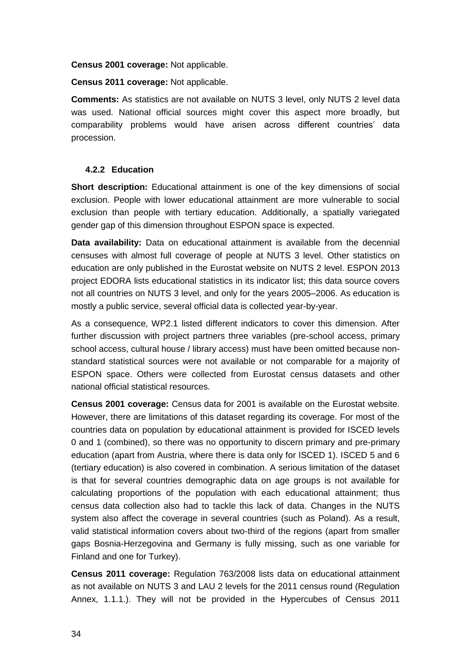**Census 2001 coverage:** Not applicable.

**Census 2011 coverage:** Not applicable.

**Comments:** As statistics are not available on NUTS 3 level, only NUTS 2 level data was used. National official sources might cover this aspect more broadly, but comparability problems would have arisen across different countries' data procession.

#### **4.2.2 Education**

**Short description:** Educational attainment is one of the key dimensions of social exclusion. People with lower educational attainment are more vulnerable to social exclusion than people with tertiary education. Additionally, a spatially variegated gender gap of this dimension throughout ESPON space is expected.

**Data availability:** Data on educational attainment is available from the decennial censuses with almost full coverage of people at NUTS 3 level. Other statistics on education are only published in the Eurostat website on NUTS 2 level. ESPON 2013 project EDORA lists educational statistics in its indicator list; this data source covers not all countries on NUTS 3 level, and only for the years 2005–2006. As education is mostly a public service, several official data is collected year-by-year.

As a consequence, WP2.1 listed different indicators to cover this dimension. After further discussion with project partners three variables (pre-school access, primary school access, cultural house / library access) must have been omitted because nonstandard statistical sources were not available or not comparable for a majority of ESPON space. Others were collected from Eurostat census datasets and other national official statistical resources.

**Census 2001 coverage:** Census data for 2001 is available on the Eurostat website. However, there are limitations of this dataset regarding its coverage. For most of the countries data on population by educational attainment is provided for ISCED levels 0 and 1 (combined), so there was no opportunity to discern primary and pre-primary education (apart from Austria, where there is data only for ISCED 1). ISCED 5 and 6 (tertiary education) is also covered in combination. A serious limitation of the dataset is that for several countries demographic data on age groups is not available for calculating proportions of the population with each educational attainment; thus census data collection also had to tackle this lack of data. Changes in the NUTS system also affect the coverage in several countries (such as Poland). As a result, valid statistical information covers about two-third of the regions (apart from smaller gaps Bosnia-Herzegovina and Germany is fully missing, such as one variable for Finland and one for Turkey).

**Census 2011 coverage:** Regulation 763/2008 lists data on educational attainment as not available on NUTS 3 and LAU 2 levels for the 2011 census round (Regulation Annex, 1.1.1.). They will not be provided in the Hypercubes of Census 2011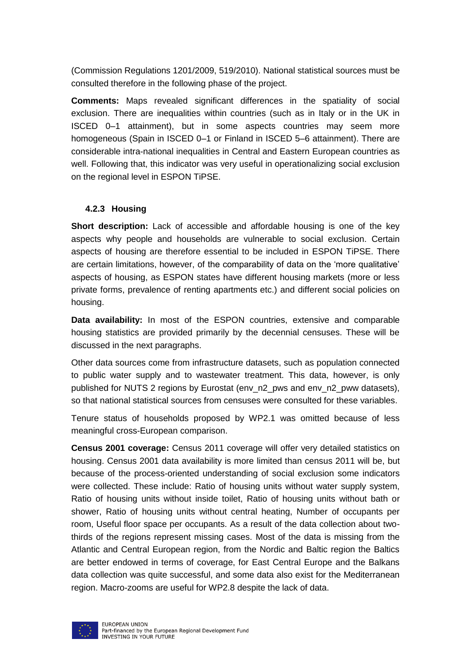(Commission Regulations 1201/2009, 519/2010). National statistical sources must be consulted therefore in the following phase of the project.

**Comments:** Maps revealed significant differences in the spatiality of social exclusion. There are inequalities within countries (such as in Italy or in the UK in ISCED 0–1 attainment), but in some aspects countries may seem more homogeneous (Spain in ISCED 0–1 or Finland in ISCED 5–6 attainment). There are considerable intra-national inequalities in Central and Eastern European countries as well. Following that, this indicator was very useful in operationalizing social exclusion on the regional level in ESPON TiPSE.

#### **4.2.3 Housing**

**Short description:** Lack of accessible and affordable housing is one of the key aspects why people and households are vulnerable to social exclusion. Certain aspects of housing are therefore essential to be included in ESPON TiPSE. There are certain limitations, however, of the comparability of data on the 'more qualitative' aspects of housing, as ESPON states have different housing markets (more or less private forms, prevalence of renting apartments etc.) and different social policies on housing.

**Data availability:** In most of the ESPON countries, extensive and comparable housing statistics are provided primarily by the decennial censuses. These will be discussed in the next paragraphs.

Other data sources come from infrastructure datasets, such as population connected to public water supply and to wastewater treatment. This data, however, is only published for NUTS 2 regions by Eurostat (env\_n2\_pws and env\_n2\_pww datasets), so that national statistical sources from censuses were consulted for these variables.

Tenure status of households proposed by WP2.1 was omitted because of less meaningful cross-European comparison.

**Census 2001 coverage:** Census 2011 coverage will offer very detailed statistics on housing. Census 2001 data availability is more limited than census 2011 will be, but because of the process-oriented understanding of social exclusion some indicators were collected. These include: Ratio of housing units without water supply system, Ratio of housing units without inside toilet, Ratio of housing units without bath or shower, Ratio of housing units without central heating, Number of occupants per room, Useful floor space per occupants. As a result of the data collection about twothirds of the regions represent missing cases. Most of the data is missing from the Atlantic and Central European region, from the Nordic and Baltic region the Baltics are better endowed in terms of coverage, for East Central Europe and the Balkans data collection was quite successful, and some data also exist for the Mediterranean region. Macro-zooms are useful for WP2.8 despite the lack of data.

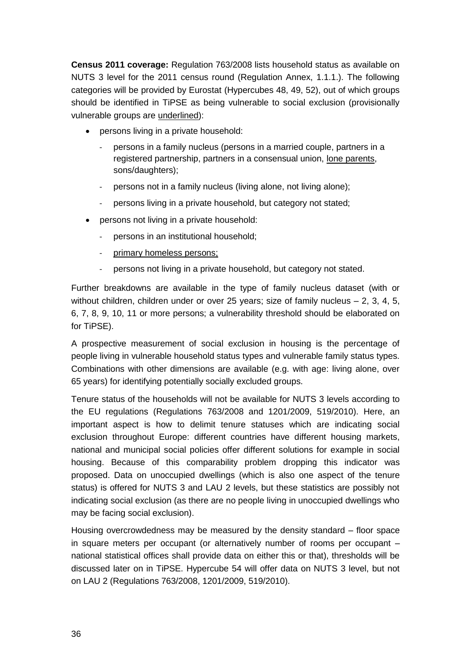**Census 2011 coverage:** Regulation 763/2008 lists household status as available on NUTS 3 level for the 2011 census round (Regulation Annex, 1.1.1.). The following categories will be provided by Eurostat (Hypercubes 48, 49, 52), out of which groups should be identified in TiPSE as being vulnerable to social exclusion (provisionally vulnerable groups are underlined):

- persons living in a private household:
	- persons in a family nucleus (persons in a married couple, partners in a registered partnership, partners in a consensual union, lone parents, sons/daughters);
	- persons not in a family nucleus (living alone, not living alone);
	- persons living in a private household, but category not stated;
- persons not living in a private household:
	- persons in an institutional household;
	- primary homeless persons;
	- persons not living in a private household, but category not stated.

Further breakdowns are available in the type of family nucleus dataset (with or without children, children under or over 25 years; size of family nucleus  $-2$ , 3, 4, 5, 6, 7, 8, 9, 10, 11 or more persons; a vulnerability threshold should be elaborated on for TiPSE).

A prospective measurement of social exclusion in housing is the percentage of people living in vulnerable household status types and vulnerable family status types. Combinations with other dimensions are available (e.g. with age: living alone, over 65 years) for identifying potentially socially excluded groups.

Tenure status of the households will not be available for NUTS 3 levels according to the EU regulations (Regulations 763/2008 and 1201/2009, 519/2010). Here, an important aspect is how to delimit tenure statuses which are indicating social exclusion throughout Europe: different countries have different housing markets, national and municipal social policies offer different solutions for example in social housing. Because of this comparability problem dropping this indicator was proposed. Data on unoccupied dwellings (which is also one aspect of the tenure status) is offered for NUTS 3 and LAU 2 levels, but these statistics are possibly not indicating social exclusion (as there are no people living in unoccupied dwellings who may be facing social exclusion).

Housing overcrowdedness may be measured by the density standard – floor space in square meters per occupant (or alternatively number of rooms per occupant – national statistical offices shall provide data on either this or that), thresholds will be discussed later on in TiPSE. Hypercube 54 will offer data on NUTS 3 level, but not on LAU 2 (Regulations 763/2008, 1201/2009, 519/2010).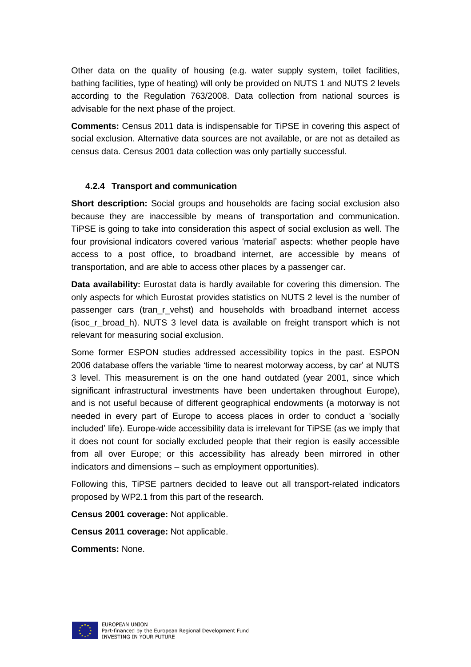Other data on the quality of housing (e.g. water supply system, toilet facilities, bathing facilities, type of heating) will only be provided on NUTS 1 and NUTS 2 levels according to the Regulation 763/2008. Data collection from national sources is advisable for the next phase of the project.

**Comments:** Census 2011 data is indispensable for TiPSE in covering this aspect of social exclusion. Alternative data sources are not available, or are not as detailed as census data. Census 2001 data collection was only partially successful.

#### **4.2.4 Transport and communication**

**Short description:** Social groups and households are facing social exclusion also because they are inaccessible by means of transportation and communication. TiPSE is going to take into consideration this aspect of social exclusion as well. The four provisional indicators covered various 'material' aspects: whether people have access to a post office, to broadband internet, are accessible by means of transportation, and are able to access other places by a passenger car.

**Data availability:** Eurostat data is hardly available for covering this dimension. The only aspects for which Eurostat provides statistics on NUTS 2 level is the number of passenger cars (tran\_r\_vehst) and households with broadband internet access (isoc\_r\_broad\_h). NUTS 3 level data is available on freight transport which is not relevant for measuring social exclusion.

Some former ESPON studies addressed accessibility topics in the past. ESPON 2006 database offers the variable 'time to nearest motorway access, by car' at NUTS 3 level. This measurement is on the one hand outdated (year 2001, since which significant infrastructural investments have been undertaken throughout Europe), and is not useful because of different geographical endowments (a motorway is not needed in every part of Europe to access places in order to conduct a 'socially included' life). Europe-wide accessibility data is irrelevant for TiPSE (as we imply that it does not count for socially excluded people that their region is easily accessible from all over Europe; or this accessibility has already been mirrored in other indicators and dimensions – such as employment opportunities).

Following this, TiPSE partners decided to leave out all transport-related indicators proposed by WP2.1 from this part of the research.

**Census 2001 coverage:** Not applicable.

**Census 2011 coverage:** Not applicable.

**Comments:** None.

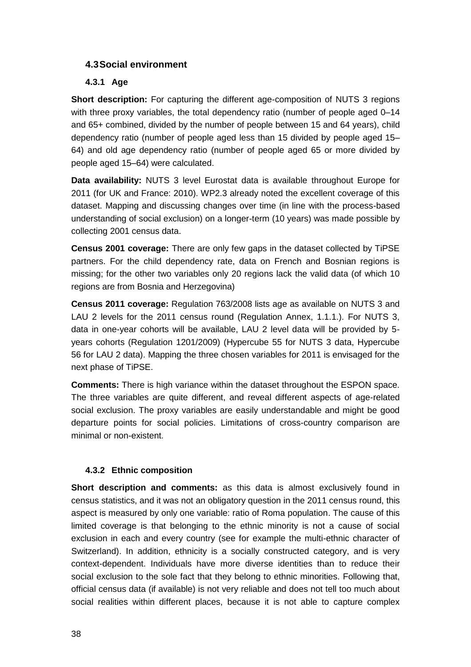#### <span id="page-39-0"></span>**4.3Social environment**

#### **4.3.1 Age**

**Short description:** For capturing the different age-composition of NUTS 3 regions with three proxy variables, the total dependency ratio (number of people aged 0–14 and 65+ combined, divided by the number of people between 15 and 64 years), child dependency ratio (number of people aged less than 15 divided by people aged 15– 64) and old age dependency ratio (number of people aged 65 or more divided by people aged 15–64) were calculated.

**Data availability:** NUTS 3 level Eurostat data is available throughout Europe for 2011 (for UK and France: 2010). WP2.3 already noted the excellent coverage of this dataset. Mapping and discussing changes over time (in line with the process-based understanding of social exclusion) on a longer-term (10 years) was made possible by collecting 2001 census data.

**Census 2001 coverage:** There are only few gaps in the dataset collected by TiPSE partners. For the child dependency rate, data on French and Bosnian regions is missing; for the other two variables only 20 regions lack the valid data (of which 10 regions are from Bosnia and Herzegovina)

**Census 2011 coverage:** Regulation 763/2008 lists age as available on NUTS 3 and LAU 2 levels for the 2011 census round (Regulation Annex, 1.1.1.). For NUTS 3, data in one-year cohorts will be available, LAU 2 level data will be provided by 5 years cohorts (Regulation 1201/2009) (Hypercube 55 for NUTS 3 data, Hypercube 56 for LAU 2 data). Mapping the three chosen variables for 2011 is envisaged for the next phase of TiPSE.

**Comments:** There is high variance within the dataset throughout the ESPON space. The three variables are quite different, and reveal different aspects of age-related social exclusion. The proxy variables are easily understandable and might be good departure points for social policies. Limitations of cross-country comparison are minimal or non-existent.

#### **4.3.2 Ethnic composition**

**Short description and comments:** as this data is almost exclusively found in census statistics, and it was not an obligatory question in the 2011 census round, this aspect is measured by only one variable: ratio of Roma population. The cause of this limited coverage is that belonging to the ethnic minority is not a cause of social exclusion in each and every country (see for example the multi-ethnic character of Switzerland). In addition, ethnicity is a socially constructed category, and is very context-dependent. Individuals have more diverse identities than to reduce their social exclusion to the sole fact that they belong to ethnic minorities. Following that, official census data (if available) is not very reliable and does not tell too much about social realities within different places, because it is not able to capture complex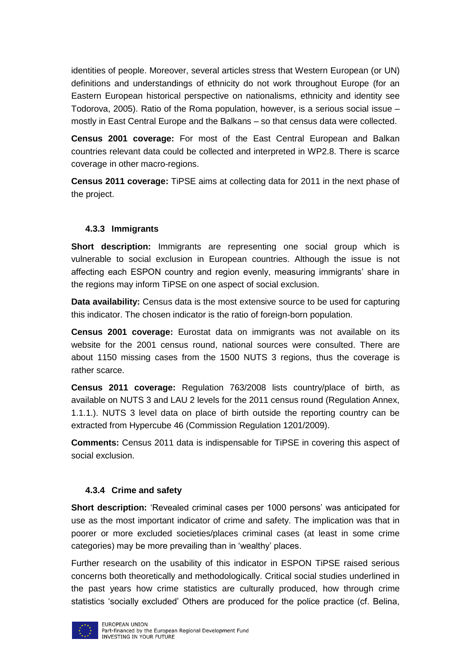identities of people. Moreover, several articles stress that Western European (or UN) definitions and understandings of ethnicity do not work throughout Europe (for an Eastern European historical perspective on nationalisms, ethnicity and identity see Todorova, 2005). Ratio of the Roma population, however, is a serious social issue – mostly in East Central Europe and the Balkans – so that census data were collected.

**Census 2001 coverage:** For most of the East Central European and Balkan countries relevant data could be collected and interpreted in WP2.8. There is scarce coverage in other macro-regions.

**Census 2011 coverage:** TiPSE aims at collecting data for 2011 in the next phase of the project.

#### **4.3.3 Immigrants**

**Short description:** Immigrants are representing one social group which is vulnerable to social exclusion in European countries. Although the issue is not affecting each ESPON country and region evenly, measuring immigrants' share in the regions may inform TiPSE on one aspect of social exclusion.

**Data availability:** Census data is the most extensive source to be used for capturing this indicator. The chosen indicator is the ratio of foreign-born population.

**Census 2001 coverage:** Eurostat data on immigrants was not available on its website for the 2001 census round, national sources were consulted. There are about 1150 missing cases from the 1500 NUTS 3 regions, thus the coverage is rather scarce.

**Census 2011 coverage:** Regulation 763/2008 lists country/place of birth, as available on NUTS 3 and LAU 2 levels for the 2011 census round (Regulation Annex, 1.1.1.). NUTS 3 level data on place of birth outside the reporting country can be extracted from Hypercube 46 (Commission Regulation 1201/2009).

**Comments:** Census 2011 data is indispensable for TiPSE in covering this aspect of social exclusion.

#### **4.3.4 Crime and safety**

**Short description:** 'Revealed criminal cases per 1000 persons' was anticipated for use as the most important indicator of crime and safety. The implication was that in poorer or more excluded societies/places criminal cases (at least in some crime categories) may be more prevailing than in 'wealthy' places.

Further research on the usability of this indicator in ESPON TiPSE raised serious concerns both theoretically and methodologically. Critical social studies underlined in the past years how crime statistics are culturally produced, how through crime statistics 'socially excluded' Others are produced for the police practice (cf. Belina,

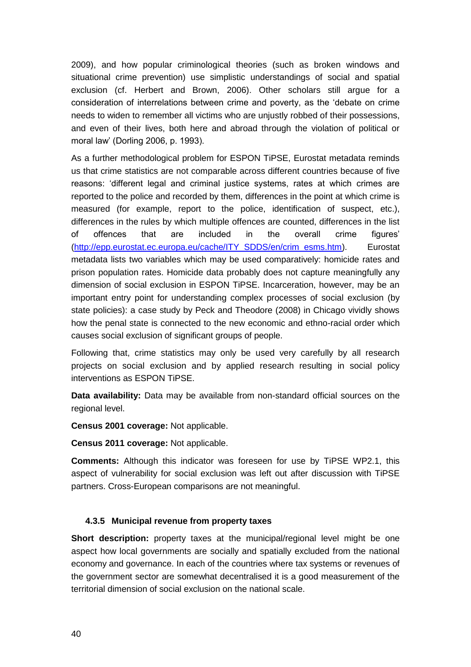2009), and how popular criminological theories (such as broken windows and situational crime prevention) use simplistic understandings of social and spatial exclusion (cf. Herbert and Brown, 2006). Other scholars still argue for a consideration of interrelations between crime and poverty, as the 'debate on crime needs to widen to remember all victims who are unjustly robbed of their possessions, and even of their lives, both here and abroad through the violation of political or moral law' (Dorling 2006, p. 1993).

As a further methodological problem for ESPON TiPSE, Eurostat metadata reminds us that crime statistics are not comparable across different countries because of five reasons: 'different legal and criminal justice systems, rates at which crimes are reported to the police and recorded by them, differences in the point at which crime is measured (for example, report to the police, identification of suspect, etc.), differences in the rules by which multiple offences are counted, differences in the list of offences that are included in the overall crime figures' [\(http://epp.eurostat.ec.europa.eu/cache/ITY\\_SDDS/en/crim\\_esms.htm\)](http://epp.eurostat.ec.europa.eu/cache/ITY_SDDS/en/crim_esms.htm). Eurostat metadata lists two variables which may be used comparatively: homicide rates and prison population rates. Homicide data probably does not capture meaningfully any dimension of social exclusion in ESPON TiPSE. Incarceration, however, may be an important entry point for understanding complex processes of social exclusion (by state policies): a case study by Peck and Theodore (2008) in Chicago vividly shows how the penal state is connected to the new economic and ethno-racial order which causes social exclusion of significant groups of people.

Following that, crime statistics may only be used very carefully by all research projects on social exclusion and by applied research resulting in social policy interventions as ESPON TiPSE.

**Data availability:** Data may be available from non-standard official sources on the regional level.

**Census 2001 coverage:** Not applicable.

**Census 2011 coverage:** Not applicable.

**Comments:** Although this indicator was foreseen for use by TiPSE WP2.1, this aspect of vulnerability for social exclusion was left out after discussion with TiPSE partners. Cross-European comparisons are not meaningful.

#### **4.3.5 Municipal revenue from property taxes**

Short description: property taxes at the municipal/regional level might be one aspect how local governments are socially and spatially excluded from the national economy and governance. In each of the countries where tax systems or revenues of the government sector are somewhat decentralised it is a good measurement of the territorial dimension of social exclusion on the national scale.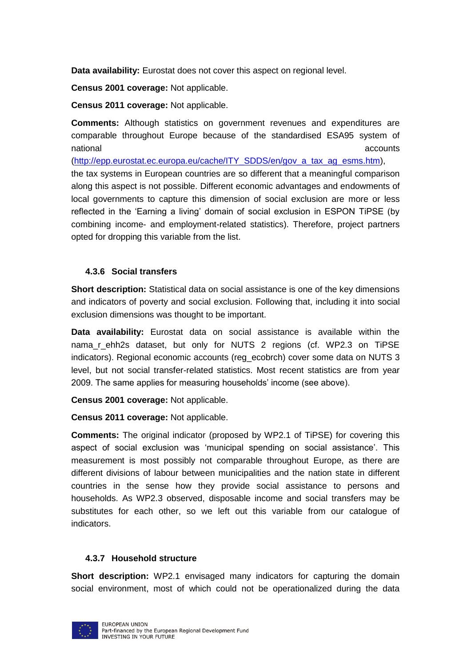**Data availability:** Eurostat does not cover this aspect on regional level.

**Census 2001 coverage:** Not applicable.

**Census 2011 coverage:** Not applicable.

**Comments:** Although statistics on government revenues and expenditures are comparable throughout Europe because of the standardised ESA95 system of national accounts and the control of the control of the control of the control of the control of the control o

[\(http://epp.eurostat.ec.europa.eu/cache/ITY\\_SDDS/en/gov\\_a\\_tax\\_ag\\_esms.htm\)](http://epp.eurostat.ec.europa.eu/cache/ITY_SDDS/en/gov_a_tax_ag_esms.htm), the tax systems in European countries are so different that a meaningful comparison along this aspect is not possible. Different economic advantages and endowments of local governments to capture this dimension of social exclusion are more or less reflected in the 'Earning a living' domain of social exclusion in ESPON TiPSE (by combining income- and employment-related statistics). Therefore, project partners opted for dropping this variable from the list.

#### **4.3.6 Social transfers**

**Short description:** Statistical data on social assistance is one of the key dimensions and indicators of poverty and social exclusion. Following that, including it into social exclusion dimensions was thought to be important.

**Data availability:** Eurostat data on social assistance is available within the nama\_r\_ehh2s dataset, but only for NUTS 2 regions (cf. WP2.3 on TiPSE indicators). Regional economic accounts (reg\_ecobrch) cover some data on NUTS 3 level, but not social transfer-related statistics. Most recent statistics are from year 2009. The same applies for measuring households' income (see above).

**Census 2001 coverage:** Not applicable.

**Census 2011 coverage:** Not applicable.

**Comments:** The original indicator (proposed by WP2.1 of TiPSE) for covering this aspect of social exclusion was 'municipal spending on social assistance'. This measurement is most possibly not comparable throughout Europe, as there are different divisions of labour between municipalities and the nation state in different countries in the sense how they provide social assistance to persons and households. As WP2.3 observed, disposable income and social transfers may be substitutes for each other, so we left out this variable from our catalogue of indicators.

#### **4.3.7 Household structure**

**Short description:** WP2.1 envisaged many indicators for capturing the domain social environment, most of which could not be operationalized during the data

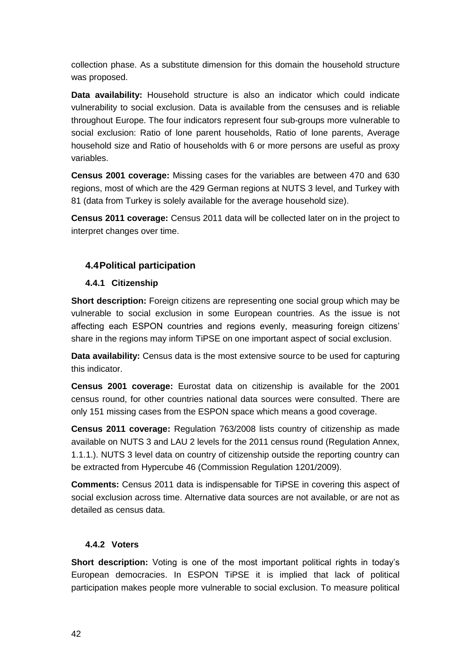collection phase. As a substitute dimension for this domain the household structure was proposed.

**Data availability:** Household structure is also an indicator which could indicate vulnerability to social exclusion. Data is available from the censuses and is reliable throughout Europe. The four indicators represent four sub-groups more vulnerable to social exclusion: Ratio of lone parent households, Ratio of lone parents, Average household size and Ratio of households with 6 or more persons are useful as proxy variables.

**Census 2001 coverage:** Missing cases for the variables are between 470 and 630 regions, most of which are the 429 German regions at NUTS 3 level, and Turkey with 81 (data from Turkey is solely available for the average household size).

**Census 2011 coverage:** Census 2011 data will be collected later on in the project to interpret changes over time.

#### <span id="page-43-0"></span>**4.4Political participation**

#### **4.4.1 Citizenship**

**Short description:** Foreign citizens are representing one social group which may be vulnerable to social exclusion in some European countries. As the issue is not affecting each ESPON countries and regions evenly, measuring foreign citizens' share in the regions may inform TiPSE on one important aspect of social exclusion.

**Data availability:** Census data is the most extensive source to be used for capturing this indicator.

**Census 2001 coverage:** Eurostat data on citizenship is available for the 2001 census round, for other countries national data sources were consulted. There are only 151 missing cases from the ESPON space which means a good coverage.

**Census 2011 coverage:** Regulation 763/2008 lists country of citizenship as made available on NUTS 3 and LAU 2 levels for the 2011 census round (Regulation Annex, 1.1.1.). NUTS 3 level data on country of citizenship outside the reporting country can be extracted from Hypercube 46 (Commission Regulation 1201/2009).

**Comments:** Census 2011 data is indispensable for TiPSE in covering this aspect of social exclusion across time. Alternative data sources are not available, or are not as detailed as census data.

#### **4.4.2 Voters**

**Short description:** Voting is one of the most important political rights in today's European democracies. In ESPON TiPSE it is implied that lack of political participation makes people more vulnerable to social exclusion. To measure political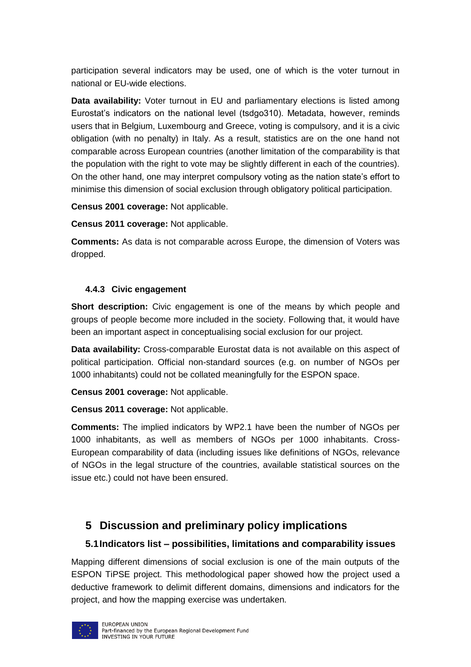participation several indicators may be used, one of which is the voter turnout in national or EU-wide elections.

**Data availability:** Voter turnout in EU and parliamentary elections is listed among Eurostat's indicators on the national level (tsdgo310). Metadata, however, reminds users that in Belgium, Luxembourg and Greece, voting is compulsory, and it is a civic obligation (with no penalty) in Italy. As a result, statistics are on the one hand not comparable across European countries (another limitation of the comparability is that the population with the right to vote may be slightly different in each of the countries). On the other hand, one may interpret compulsory voting as the nation state's effort to minimise this dimension of social exclusion through obligatory political participation.

**Census 2001 coverage:** Not applicable.

**Census 2011 coverage:** Not applicable.

**Comments:** As data is not comparable across Europe, the dimension of Voters was dropped.

#### **4.4.3 Civic engagement**

**Short description:** Civic engagement is one of the means by which people and groups of people become more included in the society. Following that, it would have been an important aspect in conceptualising social exclusion for our project.

**Data availability:** Cross-comparable Eurostat data is not available on this aspect of political participation. Official non-standard sources (e.g. on number of NGOs per 1000 inhabitants) could not be collated meaningfully for the ESPON space.

**Census 2001 coverage:** Not applicable.

**Census 2011 coverage:** Not applicable.

**Comments:** The implied indicators by WP2.1 have been the number of NGOs per 1000 inhabitants, as well as members of NGOs per 1000 inhabitants. Cross-European comparability of data (including issues like definitions of NGOs, relevance of NGOs in the legal structure of the countries, available statistical sources on the issue etc.) could not have been ensured.

# <span id="page-44-0"></span>**5 Discussion and preliminary policy implications**

#### <span id="page-44-1"></span>**5.1Indicators list – possibilities, limitations and comparability issues**

Mapping different dimensions of social exclusion is one of the main outputs of the ESPON TiPSE project. This methodological paper showed how the project used a deductive framework to delimit different domains, dimensions and indicators for the project, and how the mapping exercise was undertaken.

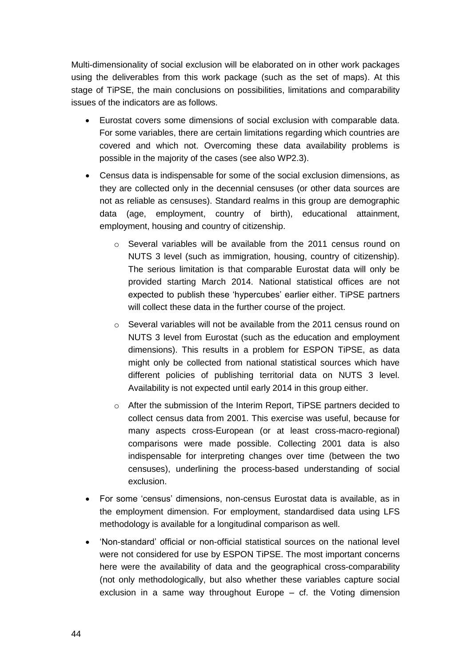Multi-dimensionality of social exclusion will be elaborated on in other work packages using the deliverables from this work package (such as the set of maps). At this stage of TiPSE, the main conclusions on possibilities, limitations and comparability issues of the indicators are as follows.

- Eurostat covers some dimensions of social exclusion with comparable data. For some variables, there are certain limitations regarding which countries are covered and which not. Overcoming these data availability problems is possible in the majority of the cases (see also WP2.3).
- Census data is indispensable for some of the social exclusion dimensions, as they are collected only in the decennial censuses (or other data sources are not as reliable as censuses). Standard realms in this group are demographic data (age, employment, country of birth), educational attainment, employment, housing and country of citizenship.
	- o Several variables will be available from the 2011 census round on NUTS 3 level (such as immigration, housing, country of citizenship). The serious limitation is that comparable Eurostat data will only be provided starting March 2014. National statistical offices are not expected to publish these 'hypercubes' earlier either. TiPSE partners will collect these data in the further course of the project.
	- o Several variables will not be available from the 2011 census round on NUTS 3 level from Eurostat (such as the education and employment dimensions). This results in a problem for ESPON TiPSE, as data might only be collected from national statistical sources which have different policies of publishing territorial data on NUTS 3 level. Availability is not expected until early 2014 in this group either.
	- o After the submission of the Interim Report, TiPSE partners decided to collect census data from 2001. This exercise was useful, because for many aspects cross-European (or at least cross-macro-regional) comparisons were made possible. Collecting 2001 data is also indispensable for interpreting changes over time (between the two censuses), underlining the process-based understanding of social exclusion.
- For some 'census' dimensions, non-census Eurostat data is available, as in the employment dimension. For employment, standardised data using LFS methodology is available for a longitudinal comparison as well.
- 'Non-standard' official or non-official statistical sources on the national level were not considered for use by ESPON TiPSE. The most important concerns here were the availability of data and the geographical cross-comparability (not only methodologically, but also whether these variables capture social exclusion in a same way throughout Europe – cf. the Voting dimension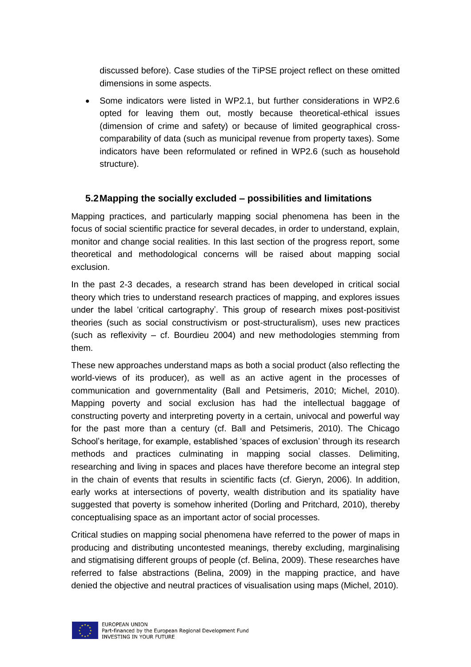discussed before). Case studies of the TiPSE project reflect on these omitted dimensions in some aspects.

 Some indicators were listed in WP2.1, but further considerations in WP2.6 opted for leaving them out, mostly because theoretical-ethical issues (dimension of crime and safety) or because of limited geographical crosscomparability of data (such as municipal revenue from property taxes). Some indicators have been reformulated or refined in WP2.6 (such as household structure).

#### <span id="page-46-0"></span>**5.2Mapping the socially excluded – possibilities and limitations**

Mapping practices, and particularly mapping social phenomena has been in the focus of social scientific practice for several decades, in order to understand, explain, monitor and change social realities. In this last section of the progress report, some theoretical and methodological concerns will be raised about mapping social exclusion.

In the past 2-3 decades, a research strand has been developed in critical social theory which tries to understand research practices of mapping, and explores issues under the label 'critical cartography'. This group of research mixes post-positivist theories (such as social constructivism or post-structuralism), uses new practices (such as reflexivity – cf. Bourdieu 2004) and new methodologies stemming from them.

These new approaches understand maps as both a social product (also reflecting the world-views of its producer), as well as an active agent in the processes of communication and governmentality (Ball and Petsimeris, 2010; Michel, 2010). Mapping poverty and social exclusion has had the intellectual baggage of constructing poverty and interpreting poverty in a certain, univocal and powerful way for the past more than a century (cf. Ball and Petsimeris, 2010). The Chicago School's heritage, for example, established 'spaces of exclusion' through its research methods and practices culminating in mapping social classes. Delimiting, researching and living in spaces and places have therefore become an integral step in the chain of events that results in scientific facts (cf. Gieryn, 2006). In addition, early works at intersections of poverty, wealth distribution and its spatiality have suggested that poverty is somehow inherited (Dorling and Pritchard, 2010), thereby conceptualising space as an important actor of social processes.

Critical studies on mapping social phenomena have referred to the power of maps in producing and distributing uncontested meanings, thereby excluding, marginalising and stigmatising different groups of people (cf. Belina, 2009). These researches have referred to false abstractions (Belina, 2009) in the mapping practice, and have denied the objective and neutral practices of visualisation using maps (Michel, 2010).

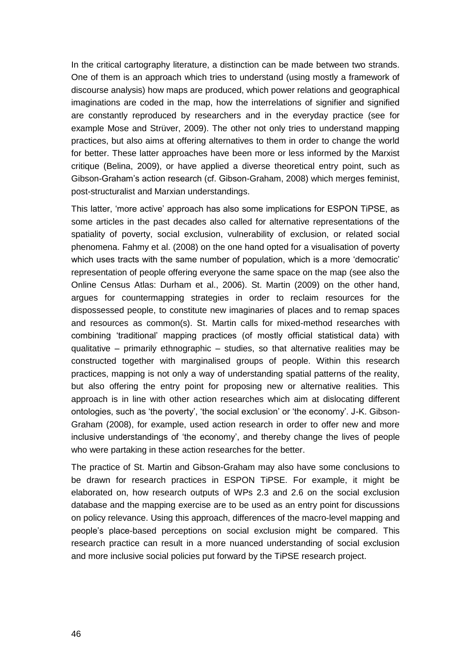In the critical cartography literature, a distinction can be made between two strands. One of them is an approach which tries to understand (using mostly a framework of discourse analysis) how maps are produced, which power relations and geographical imaginations are coded in the map, how the interrelations of signifier and signified are constantly reproduced by researchers and in the everyday practice (see for example Mose and Strüver, 2009). The other not only tries to understand mapping practices, but also aims at offering alternatives to them in order to change the world for better. These latter approaches have been more or less informed by the Marxist critique (Belina, 2009), or have applied a diverse theoretical entry point, such as Gibson-Graham's action research (cf. Gibson-Graham, 2008) which merges feminist, post-structuralist and Marxian understandings.

This latter, 'more active' approach has also some implications for ESPON TiPSE, as some articles in the past decades also called for alternative representations of the spatiality of poverty, social exclusion, vulnerability of exclusion, or related social phenomena. Fahmy et al. (2008) on the one hand opted for a visualisation of poverty which uses tracts with the same number of population, which is a more 'democratic' representation of people offering everyone the same space on the map (see also the Online Census Atlas: Durham et al., 2006). St. Martin (2009) on the other hand, argues for countermapping strategies in order to reclaim resources for the dispossessed people, to constitute new imaginaries of places and to remap spaces and resources as common(s). St. Martin calls for mixed-method researches with combining 'traditional' mapping practices (of mostly official statistical data) with qualitative – primarily ethnographic – studies, so that alternative realities may be constructed together with marginalised groups of people. Within this research practices, mapping is not only a way of understanding spatial patterns of the reality, but also offering the entry point for proposing new or alternative realities. This approach is in line with other action researches which aim at dislocating different ontologies, such as 'the poverty', 'the social exclusion' or 'the economy'. J-K. Gibson-Graham (2008), for example, used action research in order to offer new and more inclusive understandings of 'the economy', and thereby change the lives of people who were partaking in these action researches for the better.

The practice of St. Martin and Gibson-Graham may also have some conclusions to be drawn for research practices in ESPON TiPSE. For example, it might be elaborated on, how research outputs of WPs 2.3 and 2.6 on the social exclusion database and the mapping exercise are to be used as an entry point for discussions on policy relevance. Using this approach, differences of the macro-level mapping and people's place-based perceptions on social exclusion might be compared. This research practice can result in a more nuanced understanding of social exclusion and more inclusive social policies put forward by the TiPSE research project.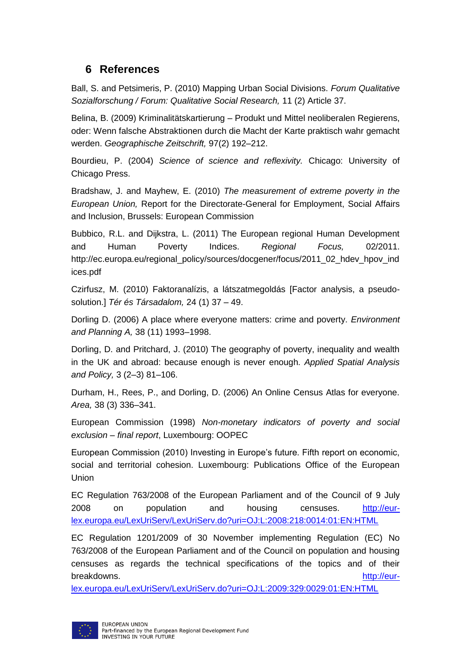# <span id="page-48-0"></span>**6 References**

Ball, S. and Petsimeris, P. (2010) Mapping Urban Social Divisions. *Forum Qualitative Sozialforschung / Forum: Qualitative Social Research,* 11 (2) Article 37.

Belina, B. (2009) Kriminalitätskartierung – Produkt und Mittel neoliberalen Regierens, oder: Wenn falsche Abstraktionen durch die Macht der Karte praktisch wahr gemacht werden. *Geographische Zeitschrift,* 97(2) 192–212.

Bourdieu, P. (2004) *Science of science and reflexivity.* Chicago: University of Chicago Press.

Bradshaw, J. and Mayhew, E. (2010) *The measurement of extreme poverty in the European Union,* Report for the Directorate-General for Employment, Social Affairs and Inclusion, Brussels: European Commission

Bubbico, R.L. and Dijkstra, L. (2011) The European regional Human Development and Human Poverty Indices. *Regional Focus,* 02/2011. http://ec.europa.eu/regional\_policy/sources/docgener/focus/2011\_02\_hdev\_hpov\_ind ices.pdf

Czirfusz, M. (2010) Faktoranalízis, a látszatmegoldás [Factor analysis, a pseudosolution.] *Tér és Társadalom,* 24 (1) 37 – 49.

Dorling D. (2006) A place where everyone matters: crime and poverty. *Environment and Planning A,* 38 (11) 1993–1998.

Dorling, D. and Pritchard, J. (2010) The geography of poverty, inequality and wealth in the UK and abroad: because enough is never enough. *Applied Spatial Analysis and Policy,* 3 (2–3) 81–106.

Durham, H., Rees, P., and Dorling, D. (2006) An Online Census Atlas for everyone. *Area,* 38 (3) 336–341.

European Commission (1998) *Non-monetary indicators of poverty and social exclusion – final report*, Luxembourg: OOPEC

European Commission (2010) Investing in Europe's future. Fifth report on economic, social and territorial cohesion. Luxembourg: Publications Office of the European Union

EC Regulation 763/2008 of the European Parliament and of the Council of 9 July 2008 on population and housing censuses. [http://eur](http://eur-lex.europa.eu/LexUriServ/LexUriServ.do?uri=OJ:L:2008:218:0014:01:EN:HTML)[lex.europa.eu/LexUriServ/LexUriServ.do?uri=OJ:L:2008:218:0014:01:EN:HTML](http://eur-lex.europa.eu/LexUriServ/LexUriServ.do?uri=OJ:L:2008:218:0014:01:EN:HTML)

EC Regulation 1201/2009 of 30 November implementing Regulation (EC) No 763/2008 of the European Parliament and of the Council on population and housing censuses as regards the technical specifications of the topics and of their breakdowns. [http://eur-](http://eur-lex.europa.eu/LexUriServ/LexUriServ.do?uri=OJ:L:2009:329:0029:01:EN:HTML)

[lex.europa.eu/LexUriServ/LexUriServ.do?uri=OJ:L:2009:329:0029:01:EN:HTML](http://eur-lex.europa.eu/LexUriServ/LexUriServ.do?uri=OJ:L:2009:329:0029:01:EN:HTML)

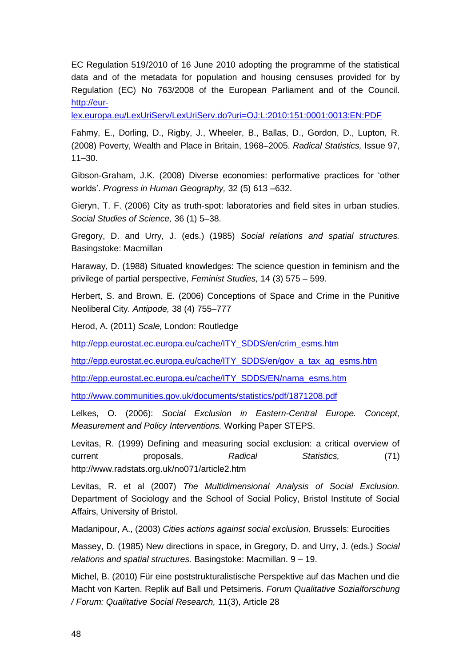EC Regulation 519/2010 of 16 June 2010 adopting the programme of the statistical data and of the metadata for population and housing censuses provided for by Regulation (EC) No 763/2008 of the European Parliament and of the Council. [http://eur-](http://eur-lex.europa.eu/LexUriServ/LexUriServ.do?uri=OJ:L:2010:151:0001:0013:EN:PDF)

[lex.europa.eu/LexUriServ/LexUriServ.do?uri=OJ:L:2010:151:0001:0013:EN:PDF](http://eur-lex.europa.eu/LexUriServ/LexUriServ.do?uri=OJ:L:2010:151:0001:0013:EN:PDF)

Fahmy, E., Dorling, D., Rigby, J., Wheeler, B., Ballas, D., Gordon, D., Lupton, R. (2008) Poverty, Wealth and Place in Britain, 1968–2005. *Radical Statistics,* Issue 97, 11–30.

Gibson-Graham, J.K. (2008) Diverse economies: performative practices for 'other worlds'. *Progress in Human Geography,* 32 (5) 613 –632.

Gieryn, T. F. (2006) City as truth-spot: laboratories and field sites in urban studies. *Social Studies of Science,* 36 (1) 5–38.

Gregory, D. and Urry, J. (eds.) (1985) *Social relations and spatial structures.* Basingstoke: Macmillan

Haraway, D. (1988) Situated knowledges: The science question in feminism and the privilege of partial perspective, *Feminist Studies,* 14 (3) 575 – 599.

Herbert, S. and Brown, E. (2006) Conceptions of Space and Crime in the Punitive Neoliberal City. *Antipode,* 38 (4) 755–777

Herod, A. (2011) *Scale,* London: Routledge

[http://epp.eurostat.ec.europa.eu/cache/ITY\\_SDDS/en/crim\\_esms.htm](http://epp.eurostat.ec.europa.eu/cache/ITY_SDDS/en/crim_esms.htm)

[http://epp.eurostat.ec.europa.eu/cache/ITY\\_SDDS/en/gov\\_a\\_tax\\_ag\\_esms.htm](http://epp.eurostat.ec.europa.eu/cache/ITY_SDDS/en/gov_a_tax_ag_esms.htm)

[http://epp.eurostat.ec.europa.eu/cache/ITY\\_SDDS/EN/nama\\_esms.htm](http://epp.eurostat.ec.europa.eu/cache/ITY_SDDS/EN/nama_esms.htm)

<http://www.communities.gov.uk/documents/statistics/pdf/1871208.pdf>

Lelkes, O. (2006): *Social Exclusion in Eastern-Central Europe. Concept, Measurement and Policy Interventions.* Working Paper STEPS.

Levitas, R. (1999) Defining and measuring social exclusion: a critical overview of current proposals. *Radical Statistics,* (71) http://www.radstats.org.uk/no071/article2.htm

Levitas, R. et al (2007) *The Multidimensional Analysis of Social Exclusion.* Department of Sociology and the School of Social Policy, Bristol Institute of Social Affairs, University of Bristol.

Madanipour, A., (2003) *Cities actions against social exclusion,* Brussels: Eurocities

Massey, D. (1985) New directions in space, in Gregory, D. and Urry, J. (eds.) *Social relations and spatial structures.* Basingstoke: Macmillan. 9 – 19.

Michel, B. (2010) Für eine poststrukturalistische Perspektive auf das Machen und die Macht von Karten. Replik auf Ball und Petsimeris. *Forum Qualitative Sozialforschung / Forum: Qualitative Social Research,* 11(3), Article 28